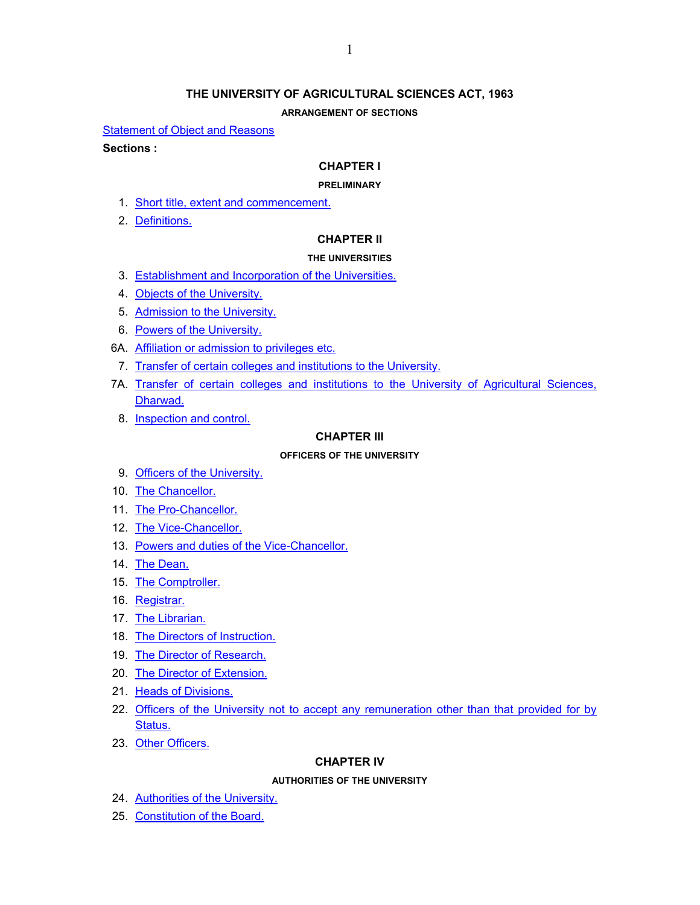# **THE UNIVERSITY OF AGRICULTURAL SCIENCES ACT, 1963**

### **ARRANGEMENT OF SECTIONS**

**[Statement of Object and Reasons](#page-1-0)** 

### **Sections :**

### **CHAPTER I**

### **PRELIMINARY**

- 1. [Short title, extent and commencement.](#page-4-0)
- 2. [Definitions.](#page-4-0)

# **CHAPTER II**

### **THE UNIVERSITIES**

- 3. [Establishment and Incorporation of the Universities.](#page-5-0)
- 4. [Objects of the University.](#page-6-0)
- 5. [Admission to the University.](#page-6-0)
- 6. [Powers of the University.](#page-6-0)
- 6A. [Affiliation or admission to privileges etc.](#page-7-0)
	- 7. [Transfer of certain colleges and institutions to the University.](#page-8-0)
- 7A. [Transfer of certain colleges and institutions to the University of Agricultural Sciences,](#page-8-0)  [Dharwad.](#page-8-0)
	- 8. [Inspection and control.](#page-10-0)

### **CHAPTER III**

#### **OFFICERS OF THE UNIVERSITY**

- 9. [Officers of the University.](#page-10-0)
- 10. [The Chancellor.](#page-11-0)
- 11. [The Pro-Chancellor.](#page-11-0)
- 12. [The Vice-Chancellor.](#page-11-0)
- 13. [Powers and duties of the Vice-Chancellor.](#page-13-0)
- 14. [The Dean.](#page-13-0)
- 15. [The Comptroller.](#page-14-0)
- 16. [Registrar.](#page-14-0)
- 17. [The Librarian.](#page-14-0)
- 18. [The Directors of Instruction.](#page-14-0)
- 19. [The Director of Research.](#page-15-0)
- 20. [The Director of Extension.](#page-15-0)
- 21. [Heads of Divisions.](#page-15-0)
- 22. [Officers of the University not to accept any remuneration other than that provided for by](#page-15-0)  [Status.](#page-15-0)
- 23. [Other Officers.](#page-15-0)

# **CHAPTER IV**

#### **AUTHORITIES OF THE UNIVERSITY**

- 24. [Authorities of the University.](#page-16-0)
- 25. [Constitution of the Board.](#page-16-0)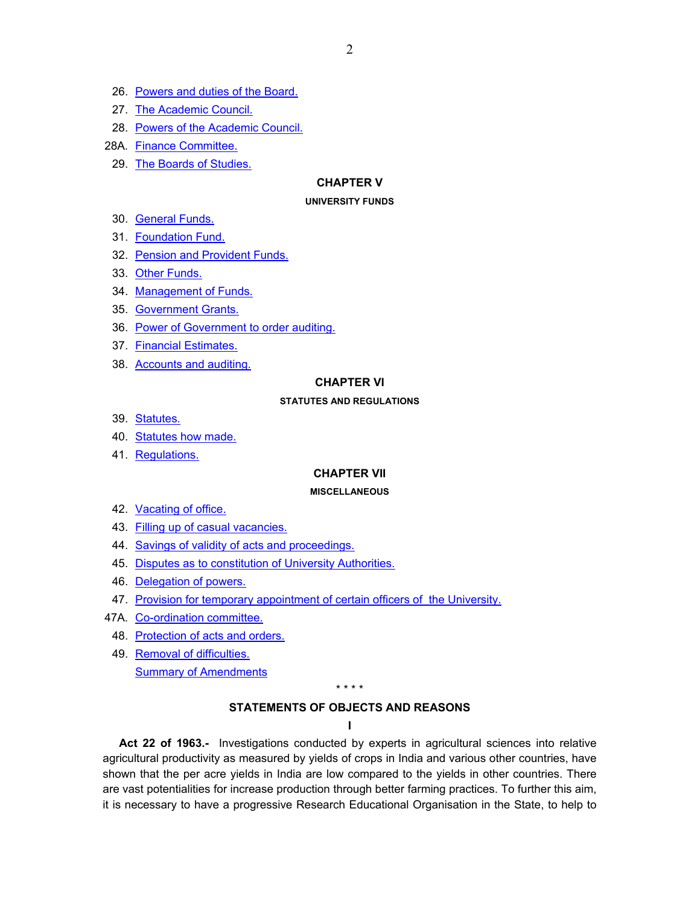- <span id="page-1-0"></span>26. [Powers and duties of the Board.](#page-17-0)
- 27. [The Academic Council.](#page-17-0)
- 28. [Powers of the Academic Council.](#page-18-0)
- 28A. [Finance Committee.](#page-18-0)
- 29. [The Boards of Studies.](#page-19-0)

# **CHAPTER V**

#### **UNIVERSITY FUNDS**

- 30. [General Funds.](#page-19-0)
- 31. [Foundation Fund.](#page-19-0)
- 32. [Pension and Provident Funds.](#page-19-0)
- 33. [Other Funds.](#page-20-0)
- 34. [Management of Funds.](#page-20-0)
- 35. [Government Grants.](#page-20-0)
- 36. [Power of Government to order auditing.](#page-21-0)
- 37. [Financial Estimates.](#page-21-0)
- 38. [Accounts and auditing.](#page-21-0)

### **CHAPTER VI**

#### **STATUTES AND REGULATIONS**

- 39. [Statutes.](#page-21-0)
- 40. [Statutes how made.](#page-22-0)
- 41. [Regulations.](#page-23-0)

### **CHAPTER VII**

#### **MISCELLANEOUS**

- 42. [Vacating of office.](#page-24-0)
- 43. [Filling up of casual vacancies.](#page-24-0)
- 44. [Savings of validity of acts and proceedings.](#page-24-0)
- 45. [Disputes as to constitution of University Authorities.](#page-24-0)
- 46. [Delegation of powers.](#page-24-0)
- 47. [Provision for temporary appointment of certain officers of the University.](#page-24-0)
- 47A. [Co-ordination committee.](#page-24-0)
- 48. [Protection of acts and orders.](#page-25-0)
- 49. [Removal of difficulties.](#page-25-0) [Summary of Amendments](#page-26-0)

\* \* \* \*

#### **STATEMENTS OF OBJECTS AND REASONS**

**I** 

**Act 22 of 1963.-** Investigations conducted by experts in agricultural sciences into relative agricultural productivity as measured by yields of crops in India and various other countries, have shown that the per acre yields in India are low compared to the yields in other countries. There are vast potentialities for increase production through better farming practices. To further this aim, it is necessary to have a progressive Research Educational Organisation in the State, to help to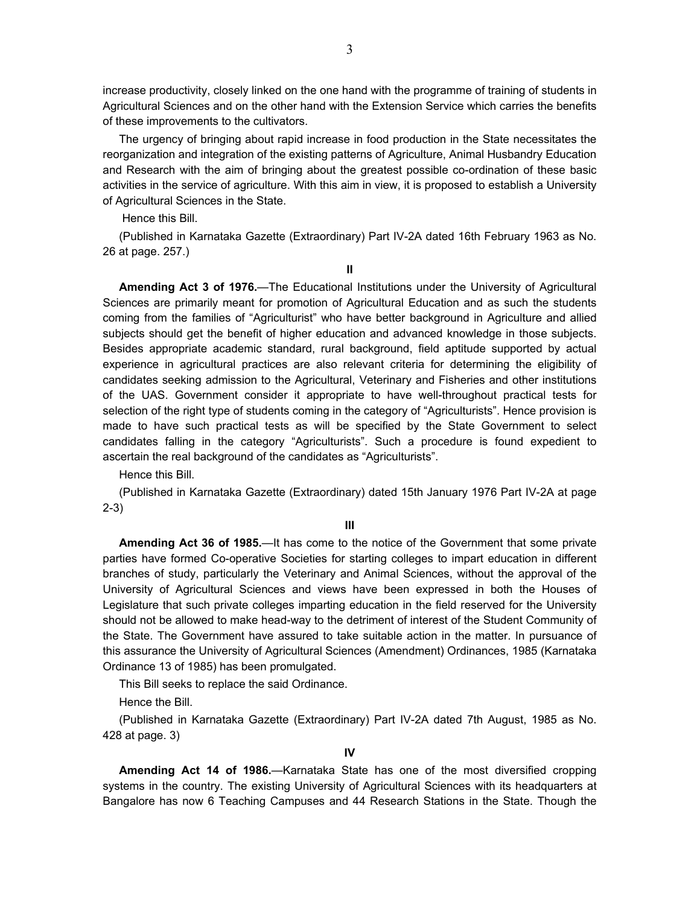increase productivity, closely linked on the one hand with the programme of training of students in Agricultural Sciences and on the other hand with the Extension Service which carries the benefits of these improvements to the cultivators.

The urgency of bringing about rapid increase in food production in the State necessitates the reorganization and integration of the existing patterns of Agriculture, Animal Husbandry Education and Research with the aim of bringing about the greatest possible co-ordination of these basic activities in the service of agriculture. With this aim in view, it is proposed to establish a University of Agricultural Sciences in the State.

Hence this Bill.

(Published in Karnataka Gazette (Extraordinary) Part IV-2A dated 16th February 1963 as No. 26 at page. 257.)

**II**

**Amending Act 3 of 1976.**—The Educational Institutions under the University of Agricultural Sciences are primarily meant for promotion of Agricultural Education and as such the students coming from the families of "Agriculturist" who have better background in Agriculture and allied subjects should get the benefit of higher education and advanced knowledge in those subjects. Besides appropriate academic standard, rural background, field aptitude supported by actual experience in agricultural practices are also relevant criteria for determining the eligibility of candidates seeking admission to the Agricultural, Veterinary and Fisheries and other institutions of the UAS. Government consider it appropriate to have well-throughout practical tests for selection of the right type of students coming in the category of "Agriculturists". Hence provision is made to have such practical tests as will be specified by the State Government to select candidates falling in the category "Agriculturists". Such a procedure is found expedient to ascertain the real background of the candidates as "Agriculturists".

Hence this Bill.

(Published in Karnataka Gazette (Extraordinary) dated 15th January 1976 Part IV-2A at page 2-3)

**III** 

**Amending Act 36 of 1985.**—It has come to the notice of the Government that some private parties have formed Co-operative Societies for starting colleges to impart education in different branches of study, particularly the Veterinary and Animal Sciences, without the approval of the University of Agricultural Sciences and views have been expressed in both the Houses of Legislature that such private colleges imparting education in the field reserved for the University should not be allowed to make head-way to the detriment of interest of the Student Community of the State. The Government have assured to take suitable action in the matter. In pursuance of this assurance the University of Agricultural Sciences (Amendment) Ordinances, 1985 (Karnataka Ordinance 13 of 1985) has been promulgated.

This Bill seeks to replace the said Ordinance.

Hence the Bill.

(Published in Karnataka Gazette (Extraordinary) Part IV-2A dated 7th August, 1985 as No. 428 at page. 3)

**Amending Act 14 of 1986.**—Karnataka State has one of the most diversified cropping systems in the country. The existing University of Agricultural Sciences with its headquarters at Bangalore has now 6 Teaching Campuses and 44 Research Stations in the State. Though the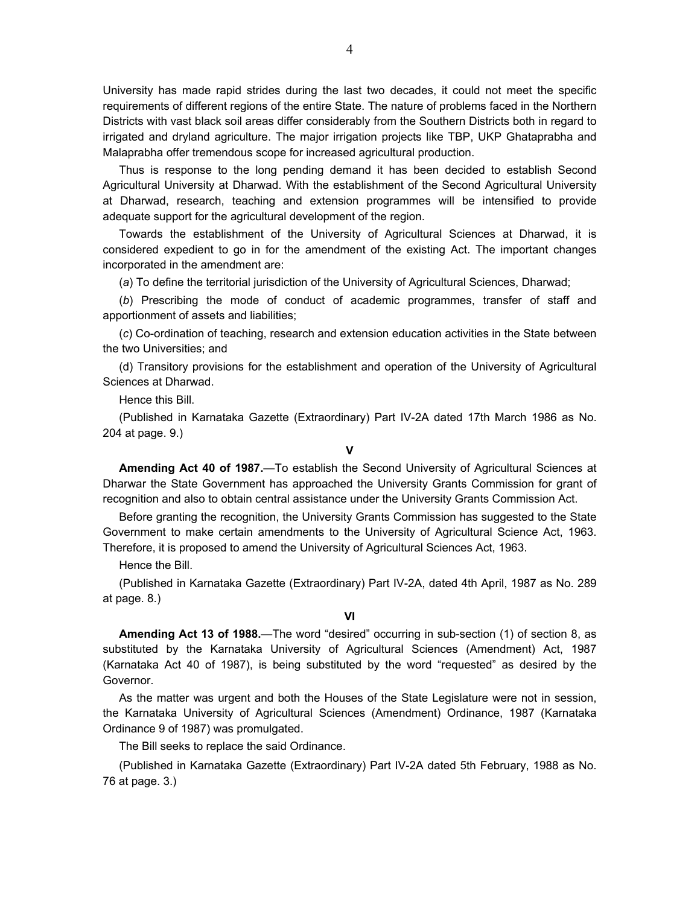University has made rapid strides during the last two decades, it could not meet the specific requirements of different regions of the entire State. The nature of problems faced in the Northern Districts with vast black soil areas differ considerably from the Southern Districts both in regard to irrigated and dryland agriculture. The major irrigation projects like TBP, UKP Ghataprabha and Malaprabha offer tremendous scope for increased agricultural production.

Thus is response to the long pending demand it has been decided to establish Second Agricultural University at Dharwad. With the establishment of the Second Agricultural University at Dharwad, research, teaching and extension programmes will be intensified to provide adequate support for the agricultural development of the region.

Towards the establishment of the University of Agricultural Sciences at Dharwad, it is considered expedient to go in for the amendment of the existing Act. The important changes incorporated in the amendment are:

(*a*) To define the territorial jurisdiction of the University of Agricultural Sciences, Dharwad;

(*b*) Prescribing the mode of conduct of academic programmes, transfer of staff and apportionment of assets and liabilities;

(*c*) Co-ordination of teaching, research and extension education activities in the State between the two Universities; and

(d) Transitory provisions for the establishment and operation of the University of Agricultural Sciences at Dharwad.

Hence this Bill.

(Published in Karnataka Gazette (Extraordinary) Part IV-2A dated 17th March 1986 as No. 204 at page. 9.)

### **V**

**Amending Act 40 of 1987.**—To establish the Second University of Agricultural Sciences at Dharwar the State Government has approached the University Grants Commission for grant of recognition and also to obtain central assistance under the University Grants Commission Act.

Before granting the recognition, the University Grants Commission has suggested to the State Government to make certain amendments to the University of Agricultural Science Act, 1963. Therefore, it is proposed to amend the University of Agricultural Sciences Act, 1963.

Hence the Bill.

(Published in Karnataka Gazette (Extraordinary) Part IV-2A, dated 4th April, 1987 as No. 289 at page. 8.)

# **VI**

**Amending Act 13 of 1988.**—The word "desired" occurring in sub-section (1) of section 8, as substituted by the Karnataka University of Agricultural Sciences (Amendment) Act, 1987 (Karnataka Act 40 of 1987), is being substituted by the word "requested" as desired by the Governor.

As the matter was urgent and both the Houses of the State Legislature were not in session, the Karnataka University of Agricultural Sciences (Amendment) Ordinance, 1987 (Karnataka Ordinance 9 of 1987) was promulgated.

The Bill seeks to replace the said Ordinance.

(Published in Karnataka Gazette (Extraordinary) Part IV-2A dated 5th February, 1988 as No. 76 at page. 3.)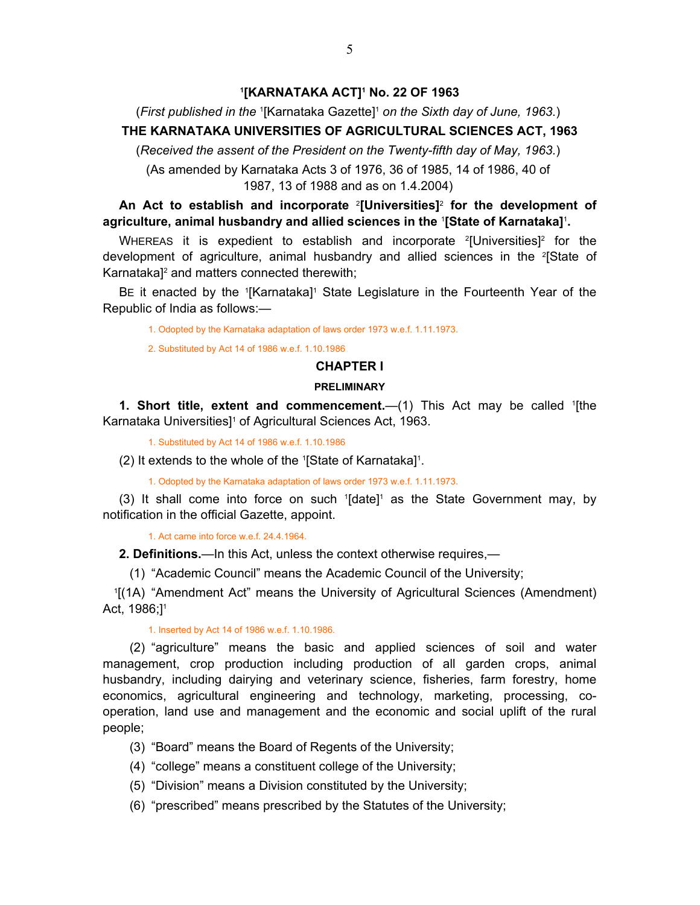### **1 [KARNATAKA ACT]1 No. 22 OF 1963**

<span id="page-4-0"></span>(*First published in the* <sup>1</sup> [Karnataka Gazette]1  *on the Sixth day of June, 1963.*)

# **THE KARNATAKA UNIVERSITIES OF AGRICULTURAL SCIENCES ACT, 1963**

(*Received the assent of the President on the Twenty-fifth day of May, 1963.*)

(As amended by Karnataka Acts 3 of 1976, 36 of 1985, 14 of 1986, 40 of 1987, 13 of 1988 and as on 1.4.2004)

**An Act to establish and incorporate** <sup>2</sup> **[Universities]**<sup>2</sup>  **for the development of agriculture, animal husbandry and allied sciences in the** <sup>1</sup> **[State of Karnataka]**<sup>1</sup> **.**

WHEREAS it is expedient to establish and incorporate  $2$ [Universities] $2$  for the development of agriculture, animal husbandry and allied sciences in the <sup>2</sup>[State of Karnataka]<sup>2</sup> and matters connected therewith;

BE it enacted by the <sup>1</sup>[Karnataka]<sup>1</sup> State Legislature in the Fourteenth Year of the Republic of India as follows:—

1. Odopted by the Karnataka adaptation of laws order 1973 w.e.f. 1.11.1973.

2. Substituted by Act 14 of 1986 w.e.f. 1.10.1986

# **CHAPTER I**

### **PRELIMINARY**

**1. Short title, extent and commencement.** (1) This Act may be called <sup>1</sup>[the Karnataka Universities<sup>1</sup> of Agricultural Sciences Act, 1963.

1. Substituted by Act 14 of 1986 w.e.f. 1.10.1986

(2) It extends to the whole of the 1 [State of Karnataka]1 .

1. Odopted by the Karnataka adaptation of laws order 1973 w.e.f. 1.11.1973.

(3) It shall come into force on such  $1$ [date]<sup>1</sup> as the State Government may, by notification in the official Gazette, appoint.

1. Act came into force w.e.f. 24.4.1964.

**2. Definitions.**—In this Act, unless the context otherwise requires,—

(1) "Academic Council" means the Academic Council of the University;

 1[(1A) "Amendment Act" means the University of Agricultural Sciences (Amendment) Act, 1986;<sup>1</sup>

#### 1. Inserted by Act 14 of 1986 w.e.f. 1.10.1986.

 (2) "agriculture" means the basic and applied sciences of soil and water management, crop production including production of all garden crops, animal husbandry, including dairying and veterinary science, fisheries, farm forestry, home economics, agricultural engineering and technology, marketing, processing, cooperation, land use and management and the economic and social uplift of the rural people;

- (3) "Board" means the Board of Regents of the University;
- (4) "college" means a constituent college of the University;
- (5) "Division" means a Division constituted by the University;
- (6) "prescribed" means prescribed by the Statutes of the University;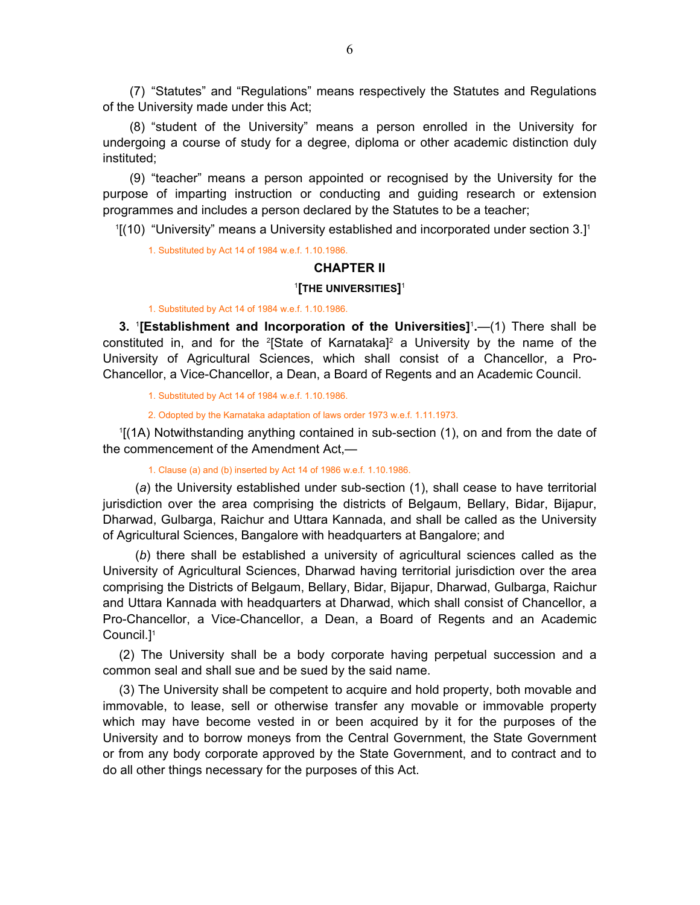<span id="page-5-0"></span> (7) "Statutes" and "Regulations" means respectively the Statutes and Regulations of the University made under this Act;

 (8) "student of the University" means a person enrolled in the University for undergoing a course of study for a degree, diploma or other academic distinction duly instituted;

 (9) "teacher" means a person appointed or recognised by the University for the purpose of imparting instruction or conducting and guiding research or extension programmes and includes a person declared by the Statutes to be a teacher;

 $1(10)$  "University" means a University established and incorporated under section 3.1<sup>1</sup>

1. Substituted by Act 14 of 1984 w.e.f. 1.10.1986.

# **CHAPTER II**

### 1 **[THE UNIVERSITIES]**<sup>1</sup>

#### 1. Substituted by Act 14 of 1984 w.e.f. 1.10.1986.

**3.** <sup>1</sup> **[Establishment and Incorporation of the Universities]**<sup>1</sup> **.**—(1) There shall be constituted in, and for the <sup>2</sup>[State of Karnataka]<sup>2</sup> a University by the name of the University of Agricultural Sciences, which shall consist of a Chancellor, a Pro-Chancellor, a Vice-Chancellor, a Dean, a Board of Regents and an Academic Council.

1. Substituted by Act 14 of 1984 w.e.f. 1.10.1986.

2. Odopted by the Karnataka adaptation of laws order 1973 w.e.f. 1.11.1973.

1 [(1A) Notwithstanding anything contained in sub-section (1), on and from the date of the commencement of the Amendment Act,—

1. Clause (a) and (b) inserted by Act 14 of 1986 w.e.f. 1.10.1986.

(*a*) the University established under sub-section (1), shall cease to have territorial jurisdiction over the area comprising the districts of Belgaum, Bellary, Bidar, Bijapur, Dharwad, Gulbarga, Raichur and Uttara Kannada, and shall be called as the University of Agricultural Sciences, Bangalore with headquarters at Bangalore; and

(*b*) there shall be established a university of agricultural sciences called as the University of Agricultural Sciences, Dharwad having territorial jurisdiction over the area comprising the Districts of Belgaum, Bellary, Bidar, Bijapur, Dharwad, Gulbarga, Raichur and Uttara Kannada with headquarters at Dharwad, which shall consist of Chancellor, a Pro-Chancellor, a Vice-Chancellor, a Dean, a Board of Regents and an Academic Council.]1

(2) The University shall be a body corporate having perpetual succession and a common seal and shall sue and be sued by the said name.

(3) The University shall be competent to acquire and hold property, both movable and immovable, to lease, sell or otherwise transfer any movable or immovable property which may have become vested in or been acquired by it for the purposes of the University and to borrow moneys from the Central Government, the State Government or from any body corporate approved by the State Government, and to contract and to do all other things necessary for the purposes of this Act.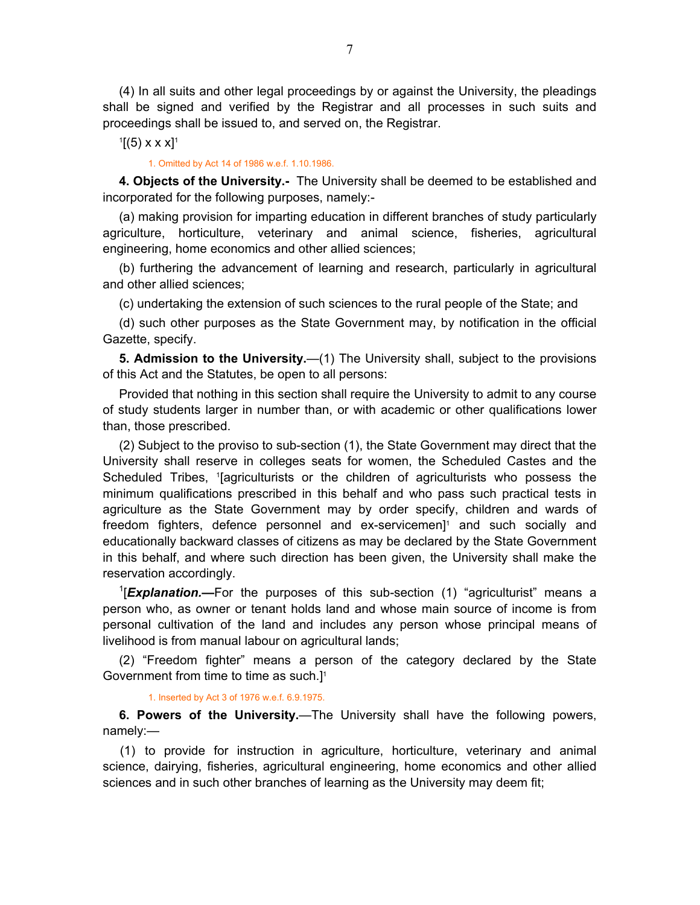<span id="page-6-0"></span>(4) In all suits and other legal proceedings by or against the University, the pleadings shall be signed and verified by the Registrar and all processes in such suits and proceedings shall be issued to, and served on, the Registrar.

 $1[(5)$  x x x]<sup>1</sup>

1. Omitted by Act 14 of 1986 w.e.f. 1.10.1986.

**4. Objects of the University.-** The University shall be deemed to be established and incorporated for the following purposes, namely:-

(a) making provision for imparting education in different branches of study particularly agriculture, horticulture, veterinary and animal science, fisheries, agricultural engineering, home economics and other allied sciences;

(b) furthering the advancement of learning and research, particularly in agricultural and other allied sciences;

(c) undertaking the extension of such sciences to the rural people of the State; and

(d) such other purposes as the State Government may, by notification in the official Gazette, specify.

**5. Admission to the University.**—(1) The University shall, subject to the provisions of this Act and the Statutes, be open to all persons:

Provided that nothing in this section shall require the University to admit to any course of study students larger in number than, or with academic or other qualifications lower than, those prescribed.

(2) Subject to the proviso to sub-section (1), the State Government may direct that the University shall reserve in colleges seats for women, the Scheduled Castes and the Scheduled Tribes, <sup>1</sup>[agriculturists or the children of agriculturists who possess the minimum qualifications prescribed in this behalf and who pass such practical tests in agriculture as the State Government may by order specify, children and wards of freedom fighters, defence personnel and ex-servicemen]<sup>1</sup> and such socially and educationally backward classes of citizens as may be declared by the State Government in this behalf, and where such direction has been given, the University shall make the reservation accordingly.

<sup>1</sup>[*Explanation.*—For the purposes of this sub-section (1) "agriculturist" means a person who, as owner or tenant holds land and whose main source of income is from personal cultivation of the land and includes any person whose principal means of livelihood is from manual labour on agricultural lands;

(2) "Freedom fighter" means a person of the category declared by the State Government from time to time as such.]1

#### 1. Inserted by Act 3 of 1976 w.e.f. 6.9.1975.

**6. Powers of the University.**—The University shall have the following powers, namely:—

 (1) to provide for instruction in agriculture, horticulture, veterinary and animal science, dairying, fisheries, agricultural engineering, home economics and other allied sciences and in such other branches of learning as the University may deem fit;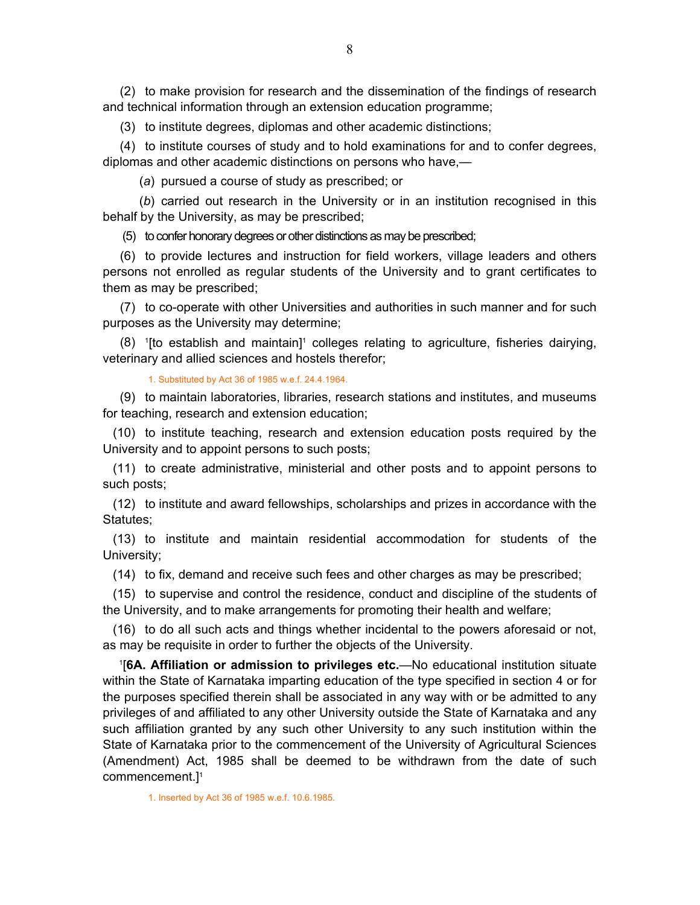<span id="page-7-0"></span> (2) to make provision for research and the dissemination of the findings of research and technical information through an extension education programme;

(3) to institute degrees, diplomas and other academic distinctions;

 (4) to institute courses of study and to hold examinations for and to confer degrees, diplomas and other academic distinctions on persons who have,—

(*a*) pursued a course of study as prescribed; or

 (*b*) carried out research in the University or in an institution recognised in this behalf by the University, as may be prescribed;

(5) to confer honorary degrees or other distinctions as may be prescribed;

 (6) to provide lectures and instruction for field workers, village leaders and others persons not enrolled as regular students of the University and to grant certificates to them as may be prescribed;

 (7) to co-operate with other Universities and authorities in such manner and for such purposes as the University may determine;

 $(8)$  <sup>1</sup>[to establish and maintain]<sup>1</sup> colleges relating to agriculture, fisheries dairying, veterinary and allied sciences and hostels therefor;

1. Substituted by Act 36 of 1985 w.e.f. 24.4.1964.

 (9) to maintain laboratories, libraries, research stations and institutes, and museums for teaching, research and extension education;

 (10) to institute teaching, research and extension education posts required by the University and to appoint persons to such posts;

 (11) to create administrative, ministerial and other posts and to appoint persons to such posts;

 (12) to institute and award fellowships, scholarships and prizes in accordance with the Statutes;

 (13) to institute and maintain residential accommodation for students of the University;

(14) to fix, demand and receive such fees and other charges as may be prescribed;

 (15) to supervise and control the residence, conduct and discipline of the students of the University, and to make arrangements for promoting their health and welfare;

 (16) to do all such acts and things whether incidental to the powers aforesaid or not, as may be requisite in order to further the objects of the University.

1 [**6A. Affiliation or admission to privileges etc.**—No educational institution situate within the State of Karnataka imparting education of the type specified in section 4 or for the purposes specified therein shall be associated in any way with or be admitted to any privileges of and affiliated to any other University outside the State of Karnataka and any such affiliation granted by any such other University to any such institution within the State of Karnataka prior to the commencement of the University of Agricultural Sciences (Amendment) Act, 1985 shall be deemed to be withdrawn from the date of such commencement.]1

1. Inserted by Act 36 of 1985 w.e.f. 10.6.1985.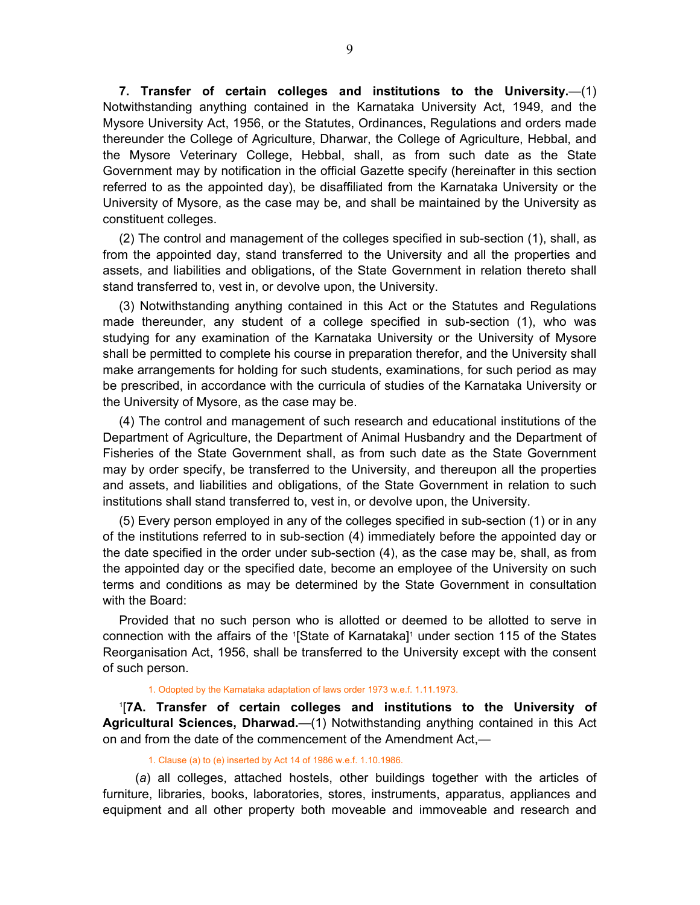<span id="page-8-0"></span>**7. Transfer of certain colleges and institutions to the University.**—(1) Notwithstanding anything contained in the Karnataka University Act, 1949, and the Mysore University Act, 1956, or the Statutes, Ordinances, Regulations and orders made thereunder the College of Agriculture, Dharwar, the College of Agriculture, Hebbal, and the Mysore Veterinary College, Hebbal, shall, as from such date as the State Government may by notification in the official Gazette specify (hereinafter in this section referred to as the appointed day), be disaffiliated from the Karnataka University or the University of Mysore, as the case may be, and shall be maintained by the University as constituent colleges.

(2) The control and management of the colleges specified in sub-section (1), shall, as from the appointed day, stand transferred to the University and all the properties and assets, and liabilities and obligations, of the State Government in relation thereto shall stand transferred to, vest in, or devolve upon, the University.

(3) Notwithstanding anything contained in this Act or the Statutes and Regulations made thereunder, any student of a college specified in sub-section (1), who was studying for any examination of the Karnataka University or the University of Mysore shall be permitted to complete his course in preparation therefor, and the University shall make arrangements for holding for such students, examinations, for such period as may be prescribed, in accordance with the curricula of studies of the Karnataka University or the University of Mysore, as the case may be.

(4) The control and management of such research and educational institutions of the Department of Agriculture, the Department of Animal Husbandry and the Department of Fisheries of the State Government shall, as from such date as the State Government may by order specify, be transferred to the University, and thereupon all the properties and assets, and liabilities and obligations, of the State Government in relation to such institutions shall stand transferred to, vest in, or devolve upon, the University.

(5) Every person employed in any of the colleges specified in sub-section (1) or in any of the institutions referred to in sub-section (4) immediately before the appointed day or the date specified in the order under sub-section (4), as the case may be, shall, as from the appointed day or the specified date, become an employee of the University on such terms and conditions as may be determined by the State Government in consultation with the Board:

Provided that no such person who is allotted or deemed to be allotted to serve in connection with the affairs of the 1 [State of Karnataka]1 under section 115 of the States Reorganisation Act, 1956, shall be transferred to the University except with the consent of such person.

#### 1. Odopted by the Karnataka adaptation of laws order 1973 w.e.f. 1.11.1973.

1 [**7A. Transfer of certain colleges and institutions to the University of Agricultural Sciences, Dharwad.**—(1) Notwithstanding anything contained in this Act on and from the date of the commencement of the Amendment Act,—

1. Clause (a) to (e) inserted by Act 14 of 1986 w.e.f. 1.10.1986.

(*a*) all colleges, attached hostels, other buildings together with the articles of furniture, libraries, books, laboratories, stores, instruments, apparatus, appliances and equipment and all other property both moveable and immoveable and research and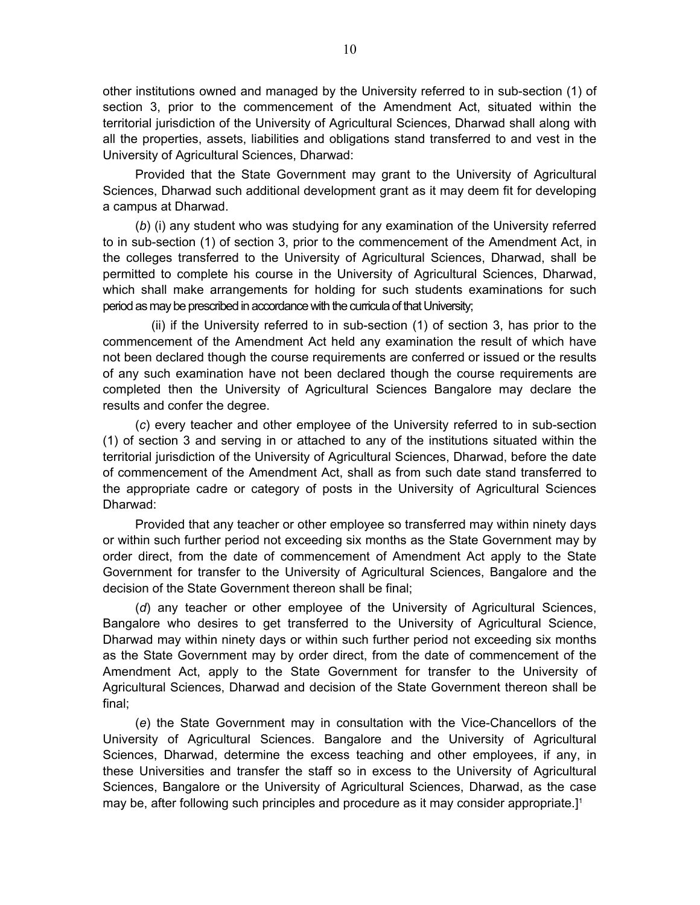other institutions owned and managed by the University referred to in sub-section (1) of section 3, prior to the commencement of the Amendment Act, situated within the territorial jurisdiction of the University of Agricultural Sciences, Dharwad shall along with all the properties, assets, liabilities and obligations stand transferred to and vest in the University of Agricultural Sciences, Dharwad:

Provided that the State Government may grant to the University of Agricultural Sciences, Dharwad such additional development grant as it may deem fit for developing a campus at Dharwad.

(*b*) (i) any student who was studying for any examination of the University referred to in sub-section (1) of section 3, prior to the commencement of the Amendment Act, in the colleges transferred to the University of Agricultural Sciences, Dharwad, shall be permitted to complete his course in the University of Agricultural Sciences, Dharwad, which shall make arrangements for holding for such students examinations for such period as may be prescribed in accordance with the curricula of that University;

(ii) if the University referred to in sub-section (1) of section 3, has prior to the commencement of the Amendment Act held any examination the result of which have not been declared though the course requirements are conferred or issued or the results of any such examination have not been declared though the course requirements are completed then the University of Agricultural Sciences Bangalore may declare the results and confer the degree.

(*c*) every teacher and other employee of the University referred to in sub-section (1) of section 3 and serving in or attached to any of the institutions situated within the territorial jurisdiction of the University of Agricultural Sciences, Dharwad, before the date of commencement of the Amendment Act, shall as from such date stand transferred to the appropriate cadre or category of posts in the University of Agricultural Sciences Dharwad:

Provided that any teacher or other employee so transferred may within ninety days or within such further period not exceeding six months as the State Government may by order direct, from the date of commencement of Amendment Act apply to the State Government for transfer to the University of Agricultural Sciences, Bangalore and the decision of the State Government thereon shall be final;

(*d*) any teacher or other employee of the University of Agricultural Sciences, Bangalore who desires to get transferred to the University of Agricultural Science, Dharwad may within ninety days or within such further period not exceeding six months as the State Government may by order direct, from the date of commencement of the Amendment Act, apply to the State Government for transfer to the University of Agricultural Sciences, Dharwad and decision of the State Government thereon shall be final;

(*e*) the State Government may in consultation with the Vice-Chancellors of the University of Agricultural Sciences. Bangalore and the University of Agricultural Sciences, Dharwad, determine the excess teaching and other employees, if any, in these Universities and transfer the staff so in excess to the University of Agricultural Sciences, Bangalore or the University of Agricultural Sciences, Dharwad, as the case may be, after following such principles and procedure as it may consider appropriate.]1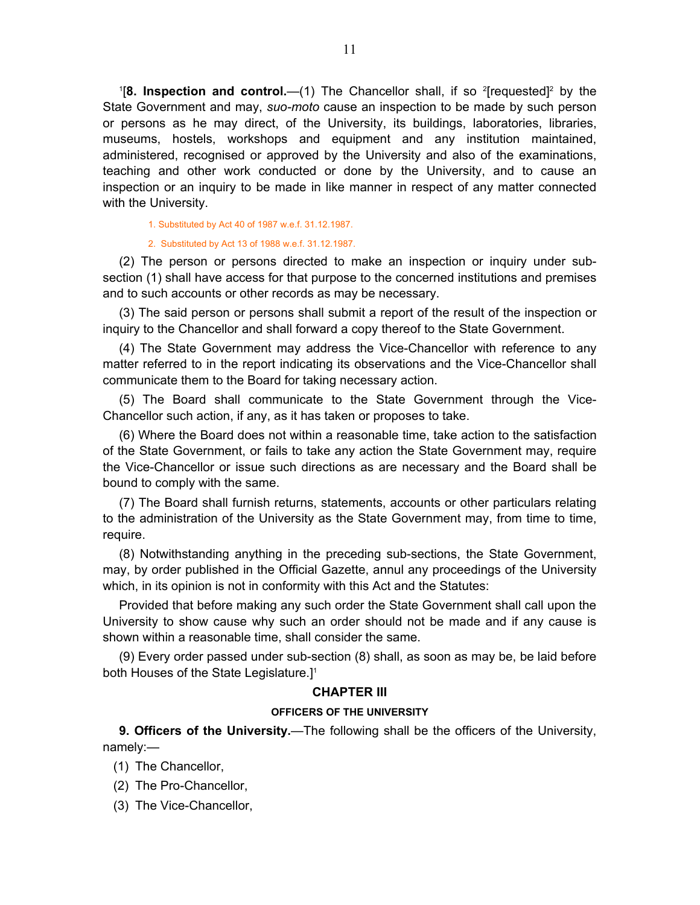<span id="page-10-0"></span><sup>1</sup>[8. Inspection and control.—(1) The Chancellor shall, if so <sup>2</sup>[requested]<sup>2</sup> by the State Government and may, *suo-moto* cause an inspection to be made by such person or persons as he may direct, of the University, its buildings, laboratories, libraries, museums, hostels, workshops and equipment and any institution maintained, administered, recognised or approved by the University and also of the examinations, teaching and other work conducted or done by the University, and to cause an inspection or an inquiry to be made in like manner in respect of any matter connected with the University.

1. Substituted by Act 40 of 1987 w.e.f. 31.12.1987.

#### 2. Substituted by Act 13 of 1988 w.e.f. 31.12.1987.

(2) The person or persons directed to make an inspection or inquiry under subsection (1) shall have access for that purpose to the concerned institutions and premises and to such accounts or other records as may be necessary.

(3) The said person or persons shall submit a report of the result of the inspection or inquiry to the Chancellor and shall forward a copy thereof to the State Government.

(4) The State Government may address the Vice-Chancellor with reference to any matter referred to in the report indicating its observations and the Vice-Chancellor shall communicate them to the Board for taking necessary action.

(5) The Board shall communicate to the State Government through the Vice-Chancellor such action, if any, as it has taken or proposes to take.

(6) Where the Board does not within a reasonable time, take action to the satisfaction of the State Government, or fails to take any action the State Government may, require the Vice-Chancellor or issue such directions as are necessary and the Board shall be bound to comply with the same.

(7) The Board shall furnish returns, statements, accounts or other particulars relating to the administration of the University as the State Government may, from time to time, require.

(8) Notwithstanding anything in the preceding sub-sections, the State Government, may, by order published in the Official Gazette, annul any proceedings of the University which, in its opinion is not in conformity with this Act and the Statutes:

Provided that before making any such order the State Government shall call upon the University to show cause why such an order should not be made and if any cause is shown within a reasonable time, shall consider the same.

(9) Every order passed under sub-section (8) shall, as soon as may be, be laid before both Houses of the State Legislature.]<sup>1</sup>

### **CHAPTER III**

#### **OFFICERS OF THE UNIVERSITY**

**9. Officers of the University.**—The following shall be the officers of the University, namely:—

- (1) The Chancellor,
- (2) The Pro-Chancellor,
- (3) The Vice-Chancellor,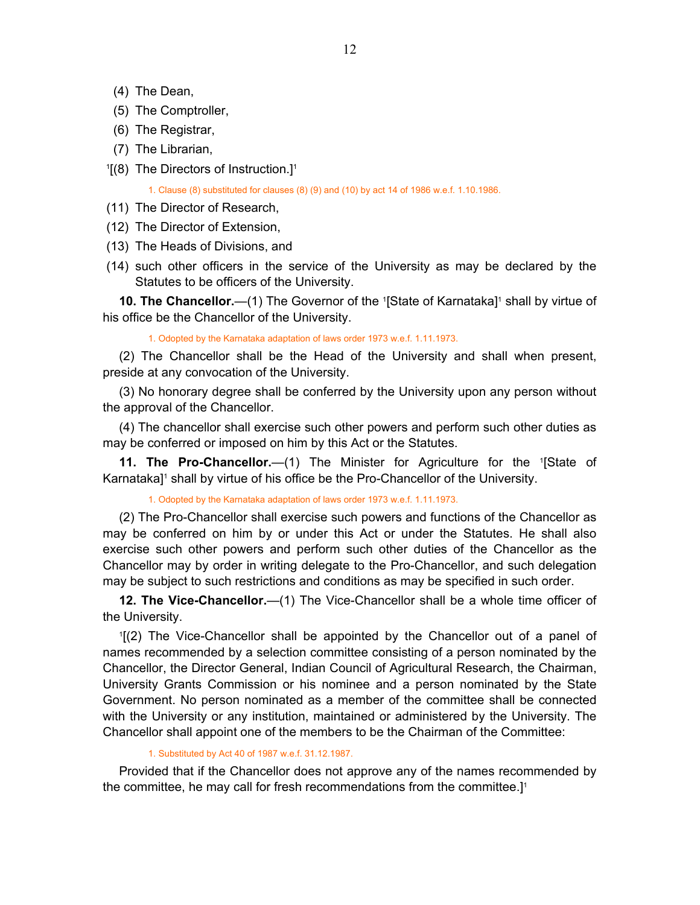- <span id="page-11-0"></span>(4) The Dean,
- (5) The Comptroller,
- (6) The Registrar,
- (7) The Librarian,
- <sup>1</sup>[(8) The Directors of Instruction.]<sup>1</sup>

1. Clause (8) substituted for clauses (8) (9) and (10) by act 14 of 1986 w.e.f. 1.10.1986.

- (11) The Director of Research,
- (12) The Director of Extension,
- (13) The Heads of Divisions, and
- (14) such other officers in the service of the University as may be declared by the Statutes to be officers of the University.

**10. The Chancellor.**—(1) The Governor of the <sup>1</sup>[State of Karnataka]<sup>1</sup> shall by virtue of his office be the Chancellor of the University.

1. Odopted by the Karnataka adaptation of laws order 1973 w.e.f. 1.11.1973.

(2) The Chancellor shall be the Head of the University and shall when present, preside at any convocation of the University.

(3) No honorary degree shall be conferred by the University upon any person without the approval of the Chancellor.

(4) The chancellor shall exercise such other powers and perform such other duties as may be conferred or imposed on him by this Act or the Statutes.

**11. The Pro-Chancellor.** (1) The Minister for Agriculture for the '[State of Karnataka]<sup>1</sup> shall by virtue of his office be the Pro-Chancellor of the University.

1. Odopted by the Karnataka adaptation of laws order 1973 w.e.f. 1.11.1973.

(2) The Pro-Chancellor shall exercise such powers and functions of the Chancellor as may be conferred on him by or under this Act or under the Statutes. He shall also exercise such other powers and perform such other duties of the Chancellor as the Chancellor may by order in writing delegate to the Pro-Chancellor, and such delegation may be subject to such restrictions and conditions as may be specified in such order.

**12. The Vice-Chancellor.**—(1) The Vice-Chancellor shall be a whole time officer of the University.

1 [(2) The Vice-Chancellor shall be appointed by the Chancellor out of a panel of names recommended by a selection committee consisting of a person nominated by the Chancellor, the Director General, Indian Council of Agricultural Research, the Chairman, University Grants Commission or his nominee and a person nominated by the State Government. No person nominated as a member of the committee shall be connected with the University or any institution, maintained or administered by the University. The Chancellor shall appoint one of the members to be the Chairman of the Committee:

#### 1. Substituted by Act 40 of 1987 w.e.f. 31.12.1987.

Provided that if the Chancellor does not approve any of the names recommended by the committee, he may call for fresh recommendations from the committee.<sup>[1]</sup>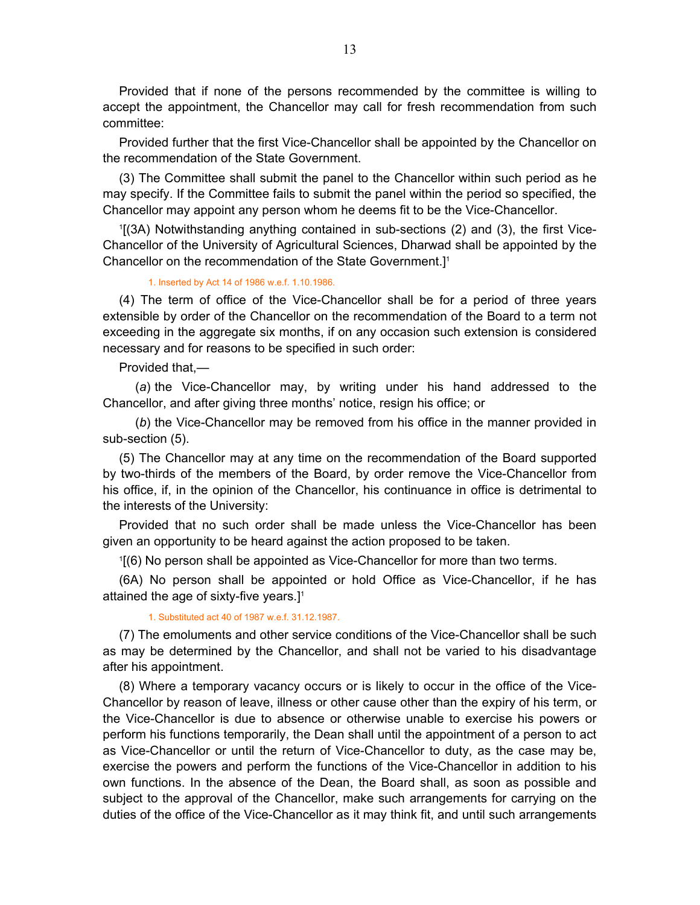Provided that if none of the persons recommended by the committee is willing to accept the appointment, the Chancellor may call for fresh recommendation from such committee:

Provided further that the first Vice-Chancellor shall be appointed by the Chancellor on the recommendation of the State Government.

(3) The Committee shall submit the panel to the Chancellor within such period as he may specify. If the Committee fails to submit the panel within the period so specified, the Chancellor may appoint any person whom he deems fit to be the Vice-Chancellor.

1 [(3A) Notwithstanding anything contained in sub-sections (2) and (3), the first Vice-Chancellor of the University of Agricultural Sciences, Dharwad shall be appointed by the Chancellor on the recommendation of the State Government.]1

#### 1. Inserted by Act 14 of 1986 w.e.f. 1.10.1986.

(4) The term of office of the Vice-Chancellor shall be for a period of three years extensible by order of the Chancellor on the recommendation of the Board to a term not exceeding in the aggregate six months, if on any occasion such extension is considered necessary and for reasons to be specified in such order:

Provided that,—

(*a*) the Vice-Chancellor may, by writing under his hand addressed to the Chancellor, and after giving three months' notice, resign his office; or

(*b*) the Vice-Chancellor may be removed from his office in the manner provided in sub-section (5).

(5) The Chancellor may at any time on the recommendation of the Board supported by two-thirds of the members of the Board, by order remove the Vice-Chancellor from his office, if, in the opinion of the Chancellor, his continuance in office is detrimental to the interests of the University:

Provided that no such order shall be made unless the Vice-Chancellor has been given an opportunity to be heard against the action proposed to be taken.

1 [(6) No person shall be appointed as Vice-Chancellor for more than two terms.

(6A) No person shall be appointed or hold Office as Vice-Chancellor, if he has attained the age of sixty-five years.]<sup>1</sup>

1. Substituted act 40 of 1987 w.e.f. 31.12.1987.

(7) The emoluments and other service conditions of the Vice-Chancellor shall be such as may be determined by the Chancellor, and shall not be varied to his disadvantage after his appointment.

(8) Where a temporary vacancy occurs or is likely to occur in the office of the Vice-Chancellor by reason of leave, illness or other cause other than the expiry of his term, or the Vice-Chancellor is due to absence or otherwise unable to exercise his powers or perform his functions temporarily, the Dean shall until the appointment of a person to act as Vice-Chancellor or until the return of Vice-Chancellor to duty, as the case may be, exercise the powers and perform the functions of the Vice-Chancellor in addition to his own functions. In the absence of the Dean, the Board shall, as soon as possible and subject to the approval of the Chancellor, make such arrangements for carrying on the duties of the office of the Vice-Chancellor as it may think fit, and until such arrangements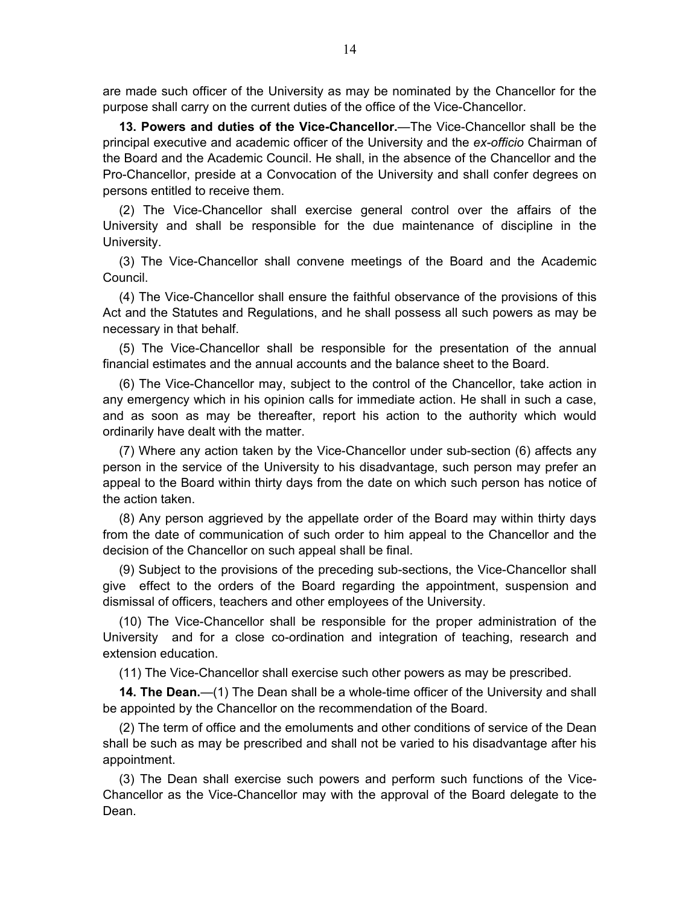<span id="page-13-0"></span>are made such officer of the University as may be nominated by the Chancellor for the purpose shall carry on the current duties of the office of the Vice-Chancellor.

**13. Powers and duties of the Vice-Chancellor.**—The Vice-Chancellor shall be the principal executive and academic officer of the University and the *ex-officio* Chairman of the Board and the Academic Council. He shall, in the absence of the Chancellor and the Pro-Chancellor, preside at a Convocation of the University and shall confer degrees on persons entitled to receive them.

(2) The Vice-Chancellor shall exercise general control over the affairs of the University and shall be responsible for the due maintenance of discipline in the University.

(3) The Vice-Chancellor shall convene meetings of the Board and the Academic Council.

(4) The Vice-Chancellor shall ensure the faithful observance of the provisions of this Act and the Statutes and Regulations, and he shall possess all such powers as may be necessary in that behalf.

(5) The Vice-Chancellor shall be responsible for the presentation of the annual financial estimates and the annual accounts and the balance sheet to the Board.

(6) The Vice-Chancellor may, subject to the control of the Chancellor, take action in any emergency which in his opinion calls for immediate action. He shall in such a case, and as soon as may be thereafter, report his action to the authority which would ordinarily have dealt with the matter.

(7) Where any action taken by the Vice-Chancellor under sub-section (6) affects any person in the service of the University to his disadvantage, such person may prefer an appeal to the Board within thirty days from the date on which such person has notice of the action taken.

(8) Any person aggrieved by the appellate order of the Board may within thirty days from the date of communication of such order to him appeal to the Chancellor and the decision of the Chancellor on such appeal shall be final.

(9) Subject to the provisions of the preceding sub-sections, the Vice-Chancellor shall give effect to the orders of the Board regarding the appointment, suspension and dismissal of officers, teachers and other employees of the University.

(10) The Vice-Chancellor shall be responsible for the proper administration of the University and for a close co-ordination and integration of teaching, research and extension education.

(11) The Vice-Chancellor shall exercise such other powers as may be prescribed.

**14. The Dean.**—(1) The Dean shall be a whole-time officer of the University and shall be appointed by the Chancellor on the recommendation of the Board.

(2) The term of office and the emoluments and other conditions of service of the Dean shall be such as may be prescribed and shall not be varied to his disadvantage after his appointment.

(3) The Dean shall exercise such powers and perform such functions of the Vice-Chancellor as the Vice-Chancellor may with the approval of the Board delegate to the Dean.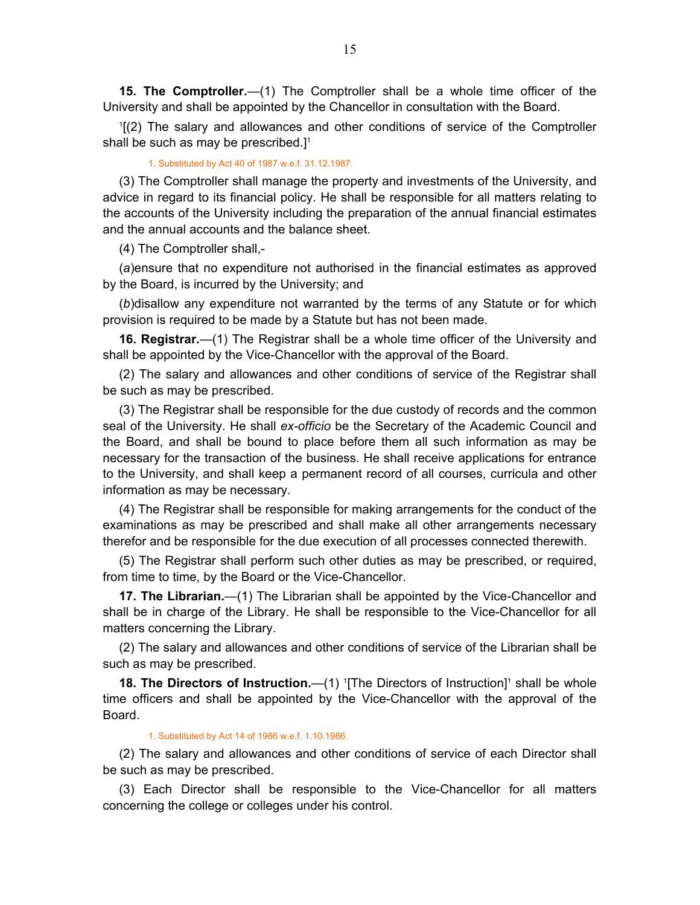<span id="page-14-0"></span>**15. The Comptroller.**—(1) The Comptroller shall be a whole time officer of the University and shall be appointed by the Chancellor in consultation with the Board.

1 [(2) The salary and allowances and other conditions of service of the Comptroller shall be such as may be prescribed.<sup>[1]</sup>

#### 1. Substituted by Act 40 of 1987 w.e.f. 31.12.1987.

(3) The Comptroller shall manage the property and investments of the University, and advice in regard to its financial policy. He shall be responsible for all matters relating to the accounts of the University including the preparation of the annual financial estimates and the annual accounts and the balance sheet.

(4) The Comptroller shall,-

(*a*)ensure that no expenditure not authorised in the financial estimates as approved by the Board, is incurred by the University; and

(*b*)disallow any expenditure not warranted by the terms of any Statute or for which provision is required to be made by a Statute but has not been made.

**16. Registrar.**—(1) The Registrar shall be a whole time officer of the University and shall be appointed by the Vice-Chancellor with the approval of the Board.

(2) The salary and allowances and other conditions of service of the Registrar shall be such as may be prescribed.

(3) The Registrar shall be responsible for the due custody of records and the common seal of the University. He shall *ex-officio* be the Secretary of the Academic Council and the Board, and shall be bound to place before them all such information as may be necessary for the transaction of the business. He shall receive applications for entrance to the University, and shall keep a permanent record of all courses, curricula and other information as may be necessary.

(4) The Registrar shall be responsible for making arrangements for the conduct of the examinations as may be prescribed and shall make all other arrangements necessary therefor and be responsible for the due execution of all processes connected therewith.

(5) The Registrar shall perform such other duties as may be prescribed, or required, from time to time, by the Board or the Vice-Chancellor.

**17. The Librarian.**—(1) The Librarian shall be appointed by the Vice-Chancellor and shall be in charge of the Library. He shall be responsible to the Vice-Chancellor for all matters concerning the Library.

(2) The salary and allowances and other conditions of service of the Librarian shall be such as may be prescribed.

**18. The Directors of Instruction.**—(1) <sup>1</sup>[The Directors of Instruction]<sup>1</sup> shall be whole time officers and shall be appointed by the Vice-Chancellor with the approval of the Board.

#### 1. Substituted by Act 14 of 1986 w.e.f. 1.10.1986.

(2) The salary and allowances and other conditions of service of each Director shall be such as may be prescribed.

(3) Each Director shall be responsible to the Vice-Chancellor for all matters concerning the college or colleges under his control.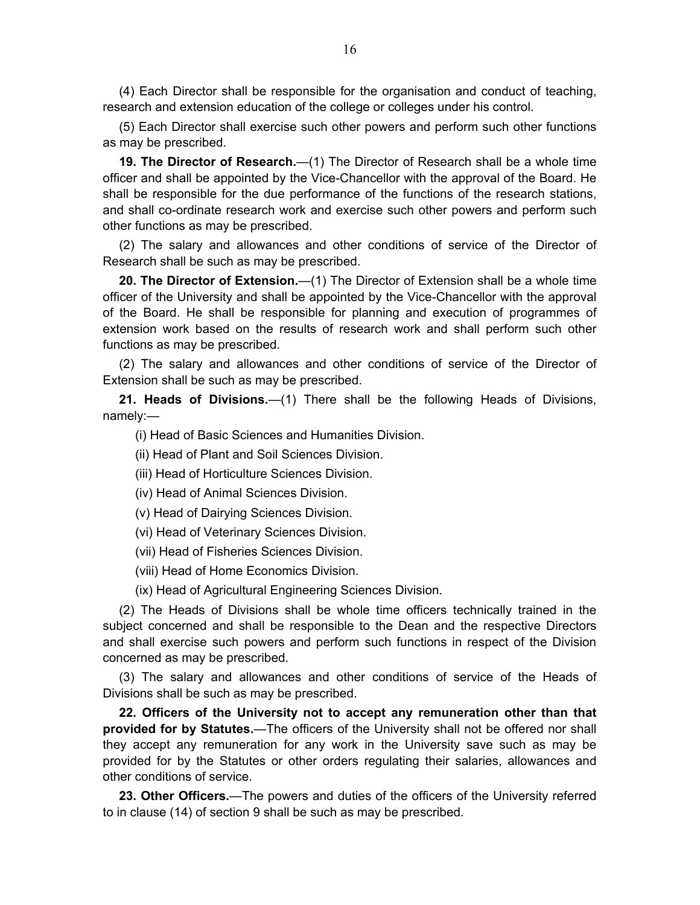<span id="page-15-0"></span>(4) Each Director shall be responsible for the organisation and conduct of teaching, research and extension education of the college or colleges under his control.

(5) Each Director shall exercise such other powers and perform such other functions as may be prescribed.

**19. The Director of Research.**—(1) The Director of Research shall be a whole time officer and shall be appointed by the Vice-Chancellor with the approval of the Board. He shall be responsible for the due performance of the functions of the research stations, and shall co-ordinate research work and exercise such other powers and perform such other functions as may be prescribed.

(2) The salary and allowances and other conditions of service of the Director of Research shall be such as may be prescribed.

**20. The Director of Extension.**—(1) The Director of Extension shall be a whole time officer of the University and shall be appointed by the Vice-Chancellor with the approval of the Board. He shall be responsible for planning and execution of programmes of extension work based on the results of research work and shall perform such other functions as may be prescribed.

(2) The salary and allowances and other conditions of service of the Director of Extension shall be such as may be prescribed.

**21. Heads of Divisions.**—(1) There shall be the following Heads of Divisions, namely:—

(i) Head of Basic Sciences and Humanities Division.

(ii) Head of Plant and Soil Sciences Division.

(iii) Head of Horticulture Sciences Division.

(iv) Head of Animal Sciences Division.

(v) Head of Dairying Sciences Division.

(vi) Head of Veterinary Sciences Division.

(vii) Head of Fisheries Sciences Division.

(viii) Head of Home Economics Division.

(ix) Head of Agricultural Engineering Sciences Division.

(2) The Heads of Divisions shall be whole time officers technically trained in the subject concerned and shall be responsible to the Dean and the respective Directors and shall exercise such powers and perform such functions in respect of the Division concerned as may be prescribed.

(3) The salary and allowances and other conditions of service of the Heads of Divisions shall be such as may be prescribed.

**22. Officers of the University not to accept any remuneration other than that provided for by Statutes.**—The officers of the University shall not be offered nor shall they accept any remuneration for any work in the University save such as may be provided for by the Statutes or other orders regulating their salaries, allowances and other conditions of service.

**23. Other Officers.**—The powers and duties of the officers of the University referred to in clause (14) of section 9 shall be such as may be prescribed.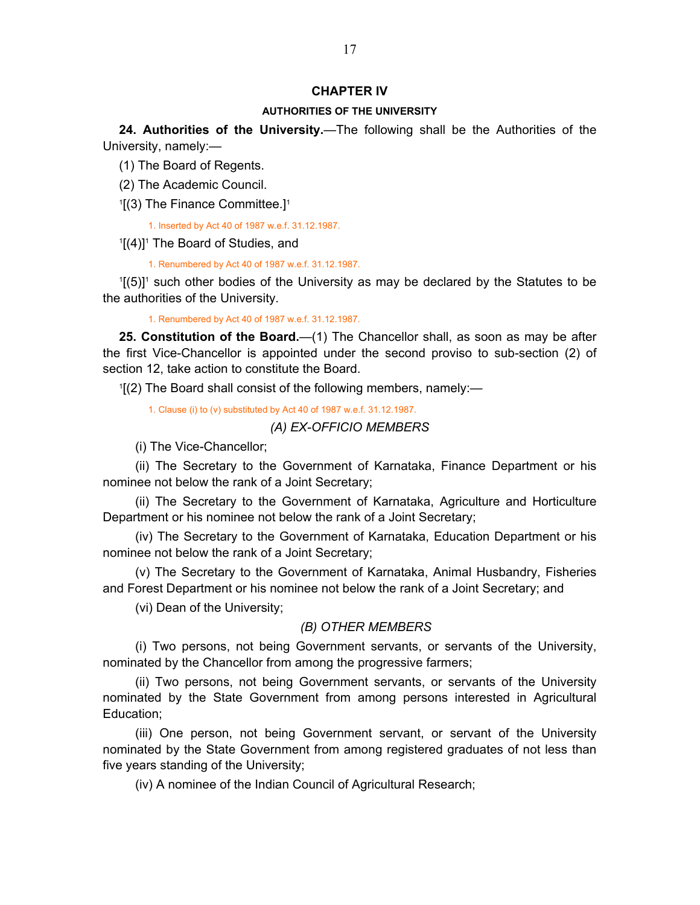### **CHAPTER IV**

#### **AUTHORITIES OF THE UNIVERSITY**

<span id="page-16-0"></span>**24. Authorities of the University.**—The following shall be the Authorities of the University, namely:—

(1) The Board of Regents.

- (2) The Academic Council.
- $1[(3)$  The Finance Committee.]<sup>1</sup>

1. Inserted by Act 40 of 1987 w.e.f. 31.12.1987.

 $1[(4)]$ <sup>1</sup> The Board of Studies, and

1. Renumbered by Act 40 of 1987 w.e.f. 31.12.1987.

 $1[(5)]$ <sup>1</sup> such other bodies of the University as may be declared by the Statutes to be the authorities of the University.

1. Renumbered by Act 40 of 1987 w.e.f. 31.12.1987.

**25. Constitution of the Board.**—(1) The Chancellor shall, as soon as may be after the first Vice-Chancellor is appointed under the second proviso to sub-section (2) of section 12, take action to constitute the Board.

1 [(2) The Board shall consist of the following members, namely:—

1. Clause (i) to (v) substituted by Act 40 of 1987 w.e.f. 31.12.1987.

# *(A) EX-OFFICIO MEMBERS*

(i) The Vice-Chancellor;

(ii) The Secretary to the Government of Karnataka, Finance Department or his nominee not below the rank of a Joint Secretary;

(ii) The Secretary to the Government of Karnataka, Agriculture and Horticulture Department or his nominee not below the rank of a Joint Secretary;

(iv) The Secretary to the Government of Karnataka, Education Department or his nominee not below the rank of a Joint Secretary;

(v) The Secretary to the Government of Karnataka, Animal Husbandry, Fisheries and Forest Department or his nominee not below the rank of a Joint Secretary; and

(vi) Dean of the University;

### *(B) OTHER MEMBERS*

(i) Two persons, not being Government servants, or servants of the University, nominated by the Chancellor from among the progressive farmers;

(ii) Two persons, not being Government servants, or servants of the University nominated by the State Government from among persons interested in Agricultural Education;

(iii) One person, not being Government servant, or servant of the University nominated by the State Government from among registered graduates of not less than five years standing of the University;

(iv) A nominee of the Indian Council of Agricultural Research;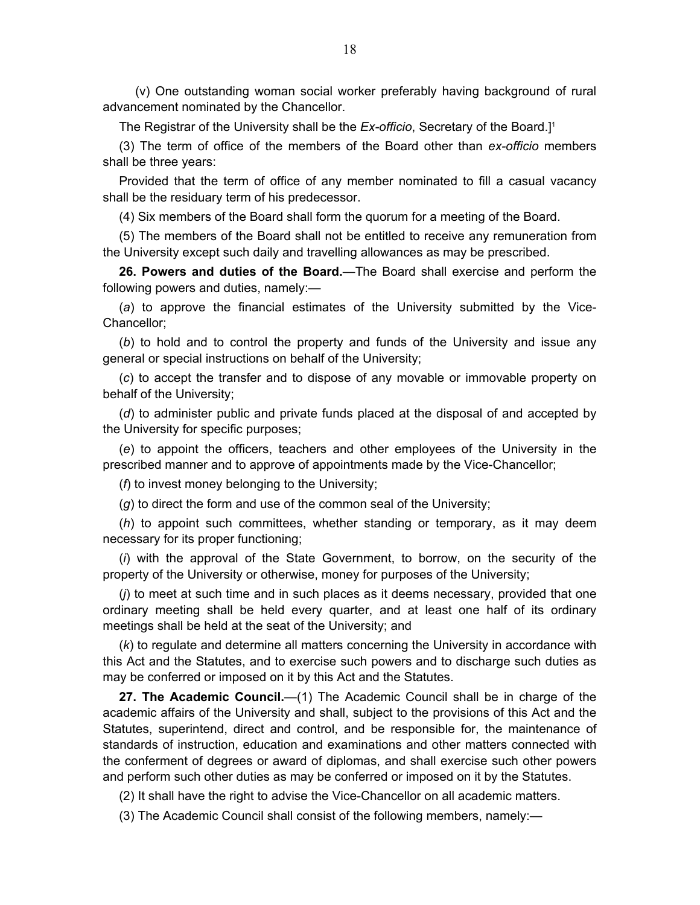<span id="page-17-0"></span>(v) One outstanding woman social worker preferably having background of rural advancement nominated by the Chancellor.

The Registrar of the University shall be the *Ex-officio*, Secretary of the Board.]1

(3) The term of office of the members of the Board other than *ex-officio* members shall be three years:

Provided that the term of office of any member nominated to fill a casual vacancy shall be the residuary term of his predecessor.

(4) Six members of the Board shall form the quorum for a meeting of the Board.

(5) The members of the Board shall not be entitled to receive any remuneration from the University except such daily and travelling allowances as may be prescribed.

**26. Powers and duties of the Board.**—The Board shall exercise and perform the following powers and duties, namely:—

(*a*) to approve the financial estimates of the University submitted by the Vice-Chancellor;

(*b*) to hold and to control the property and funds of the University and issue any general or special instructions on behalf of the University;

(*c*) to accept the transfer and to dispose of any movable or immovable property on behalf of the University;

(*d*) to administer public and private funds placed at the disposal of and accepted by the University for specific purposes;

(*e*) to appoint the officers, teachers and other employees of the University in the prescribed manner and to approve of appointments made by the Vice-Chancellor;

(*f*) to invest money belonging to the University;

(*g*) to direct the form and use of the common seal of the University;

(*h*) to appoint such committees, whether standing or temporary, as it may deem necessary for its proper functioning;

(*i*) with the approval of the State Government, to borrow, on the security of the property of the University or otherwise, money for purposes of the University;

(*j*) to meet at such time and in such places as it deems necessary, provided that one ordinary meeting shall be held every quarter, and at least one half of its ordinary meetings shall be held at the seat of the University; and

(*k*) to regulate and determine all matters concerning the University in accordance with this Act and the Statutes, and to exercise such powers and to discharge such duties as may be conferred or imposed on it by this Act and the Statutes.

**27. The Academic Council.**—(1) The Academic Council shall be in charge of the academic affairs of the University and shall, subject to the provisions of this Act and the Statutes, superintend, direct and control, and be responsible for, the maintenance of standards of instruction, education and examinations and other matters connected with the conferment of degrees or award of diplomas, and shall exercise such other powers and perform such other duties as may be conferred or imposed on it by the Statutes.

(2) It shall have the right to advise the Vice-Chancellor on all academic matters.

(3) The Academic Council shall consist of the following members, namely:—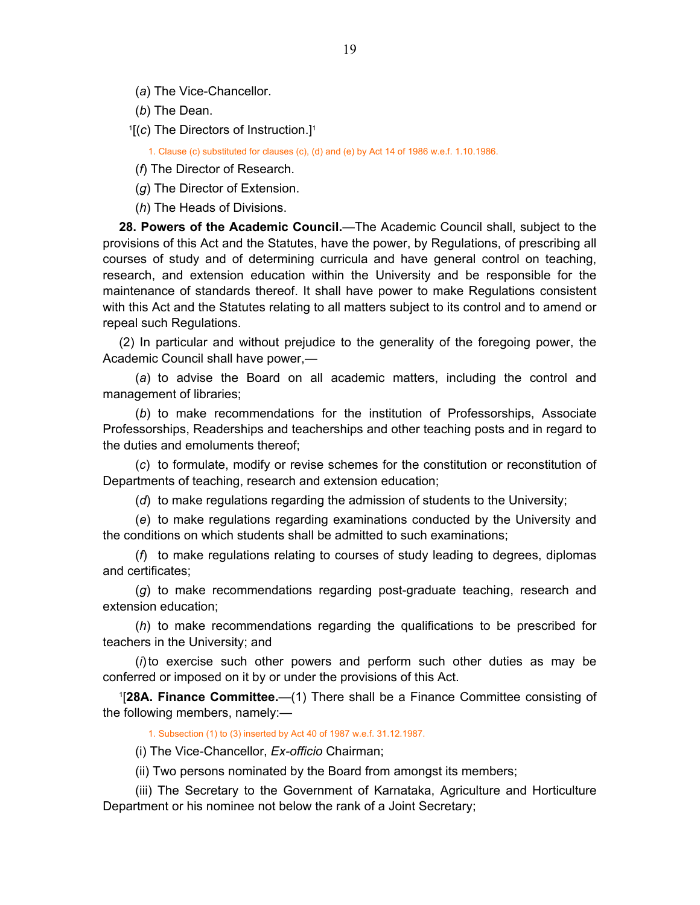<span id="page-18-0"></span>(*a*) The Vice-Chancellor.

(*b*) The Dean.

<sup>1</sup>[(c) The Directors of Instruction.]<sup>1</sup>

1. Clause (c) substituted for clauses (c), (d) and (e) by Act 14 of 1986 w.e.f. 1.10.1986.

(*f*) The Director of Research.

(*g*) The Director of Extension.

(*h*) The Heads of Divisions.

**28. Powers of the Academic Council.**—The Academic Council shall, subject to the provisions of this Act and the Statutes, have the power, by Regulations, of prescribing all courses of study and of determining curricula and have general control on teaching, research, and extension education within the University and be responsible for the maintenance of standards thereof. It shall have power to make Regulations consistent with this Act and the Statutes relating to all matters subject to its control and to amend or repeal such Regulations.

(2) In particular and without prejudice to the generality of the foregoing power, the Academic Council shall have power,—

(*a*) to advise the Board on all academic matters, including the control and management of libraries;

(*b*) to make recommendations for the institution of Professorships, Associate Professorships, Readerships and teacherships and other teaching posts and in regard to the duties and emoluments thereof;

(*c*) to formulate, modify or revise schemes for the constitution or reconstitution of Departments of teaching, research and extension education;

(*d*) to make regulations regarding the admission of students to the University;

(*e*) to make regulations regarding examinations conducted by the University and the conditions on which students shall be admitted to such examinations;

(*f*) to make regulations relating to courses of study leading to degrees, diplomas and certificates;

(*g*) to make recommendations regarding post-graduate teaching, research and extension education;

(*h*) to make recommendations regarding the qualifications to be prescribed for teachers in the University; and

(*i*) to exercise such other powers and perform such other duties as may be conferred or imposed on it by or under the provisions of this Act.

1 [**28A. Finance Committee.**—(1) There shall be a Finance Committee consisting of the following members, namely:—

1. Subsection (1) to (3) inserted by Act 40 of 1987 w.e.f. 31.12.1987.

(i) The Vice-Chancellor, *Ex-officio* Chairman;

(ii) Two persons nominated by the Board from amongst its members;

(iii) The Secretary to the Government of Karnataka, Agriculture and Horticulture Department or his nominee not below the rank of a Joint Secretary;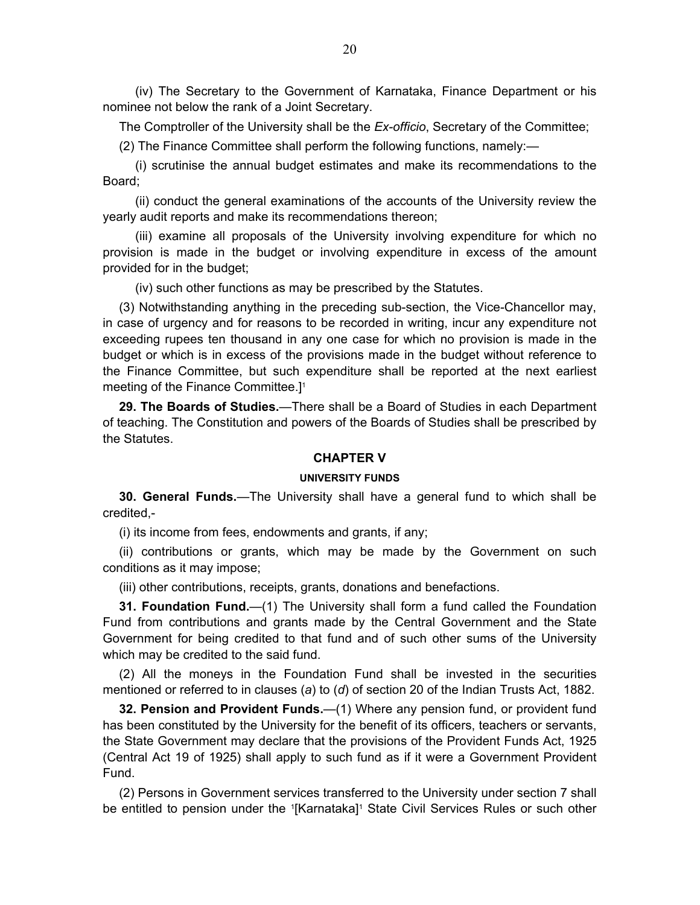<span id="page-19-0"></span>(iv) The Secretary to the Government of Karnataka, Finance Department or his nominee not below the rank of a Joint Secretary.

The Comptroller of the University shall be the *Ex-officio*, Secretary of the Committee;

(2) The Finance Committee shall perform the following functions, namely:—

(i) scrutinise the annual budget estimates and make its recommendations to the Board;

(ii) conduct the general examinations of the accounts of the University review the yearly audit reports and make its recommendations thereon;

(iii) examine all proposals of the University involving expenditure for which no provision is made in the budget or involving expenditure in excess of the amount provided for in the budget;

(iv) such other functions as may be prescribed by the Statutes.

(3) Notwithstanding anything in the preceding sub-section, the Vice-Chancellor may, in case of urgency and for reasons to be recorded in writing, incur any expenditure not exceeding rupees ten thousand in any one case for which no provision is made in the budget or which is in excess of the provisions made in the budget without reference to the Finance Committee, but such expenditure shall be reported at the next earliest meeting of the Finance Committee.<sup>[1]</sup>

**29. The Boards of Studies.**—There shall be a Board of Studies in each Department of teaching. The Constitution and powers of the Boards of Studies shall be prescribed by the Statutes.

### **CHAPTER V**

#### **UNIVERSITY FUNDS**

**30. General Funds.**—The University shall have a general fund to which shall be credited,-

(i) its income from fees, endowments and grants, if any;

(ii) contributions or grants, which may be made by the Government on such conditions as it may impose;

(iii) other contributions, receipts, grants, donations and benefactions.

**31. Foundation Fund.**—(1) The University shall form a fund called the Foundation Fund from contributions and grants made by the Central Government and the State Government for being credited to that fund and of such other sums of the University which may be credited to the said fund.

(2) All the moneys in the Foundation Fund shall be invested in the securities mentioned or referred to in clauses (*a*) to (*d*) of section 20 of the Indian Trusts Act, 1882.

**32. Pension and Provident Funds.**—(1) Where any pension fund, or provident fund has been constituted by the University for the benefit of its officers, teachers or servants, the State Government may declare that the provisions of the Provident Funds Act, 1925 (Central Act 19 of 1925) shall apply to such fund as if it were a Government Provident Fund.

(2) Persons in Government services transferred to the University under section 7 shall be entitled to pension under the '[Karnataka]' State Civil Services Rules or such other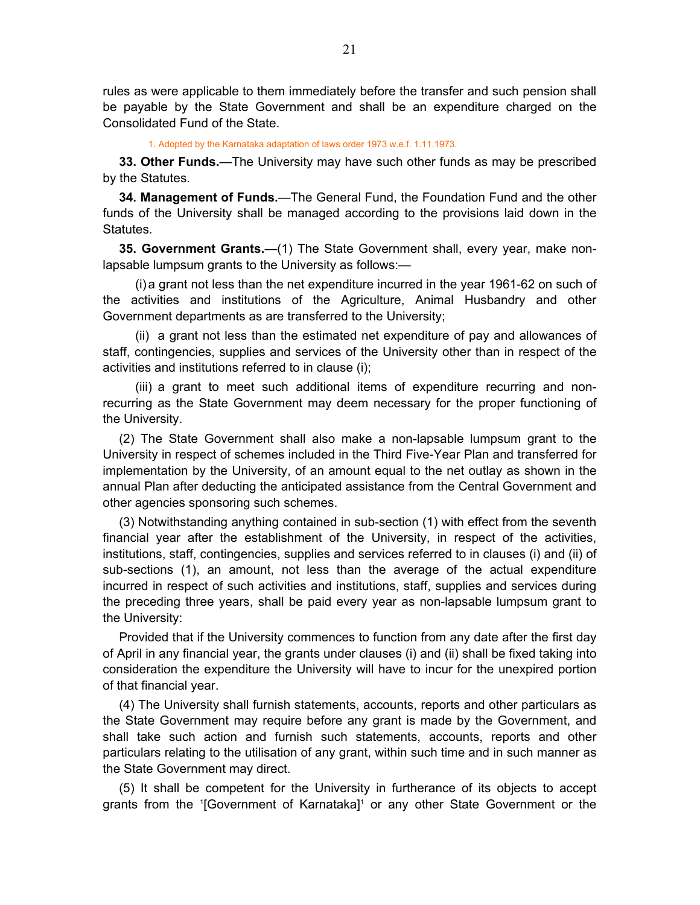<span id="page-20-0"></span>rules as were applicable to them immediately before the transfer and such pension shall be payable by the State Government and shall be an expenditure charged on the Consolidated Fund of the State.

1. Adopted by the Karnataka adaptation of laws order 1973 w.e.f. 1.11.1973.

**33. Other Funds.**—The University may have such other funds as may be prescribed by the Statutes.

**34. Management of Funds.**—The General Fund, the Foundation Fund and the other funds of the University shall be managed according to the provisions laid down in the Statutes.

**35. Government Grants.**—(1) The State Government shall, every year, make nonlapsable lumpsum grants to the University as follows:—

(i) a grant not less than the net expenditure incurred in the year 1961-62 on such of the activities and institutions of the Agriculture, Animal Husbandry and other Government departments as are transferred to the University;

(ii) a grant not less than the estimated net expenditure of pay and allowances of staff, contingencies, supplies and services of the University other than in respect of the activities and institutions referred to in clause (i);

(iii) a grant to meet such additional items of expenditure recurring and nonrecurring as the State Government may deem necessary for the proper functioning of the University.

(2) The State Government shall also make a non-lapsable lumpsum grant to the University in respect of schemes included in the Third Five-Year Plan and transferred for implementation by the University, of an amount equal to the net outlay as shown in the annual Plan after deducting the anticipated assistance from the Central Government and other agencies sponsoring such schemes.

(3) Notwithstanding anything contained in sub-section (1) with effect from the seventh financial year after the establishment of the University, in respect of the activities, institutions, staff, contingencies, supplies and services referred to in clauses (i) and (ii) of sub-sections (1), an amount, not less than the average of the actual expenditure incurred in respect of such activities and institutions, staff, supplies and services during the preceding three years, shall be paid every year as non-lapsable lumpsum grant to the University:

Provided that if the University commences to function from any date after the first day of April in any financial year, the grants under clauses (i) and (ii) shall be fixed taking into consideration the expenditure the University will have to incur for the unexpired portion of that financial year.

(4) The University shall furnish statements, accounts, reports and other particulars as the State Government may require before any grant is made by the Government, and shall take such action and furnish such statements, accounts, reports and other particulars relating to the utilisation of any grant, within such time and in such manner as the State Government may direct.

(5) It shall be competent for the University in furtherance of its objects to accept grants from the <sup>1</sup>[Government of Karnataka]<sup>1</sup> or any other State Government or the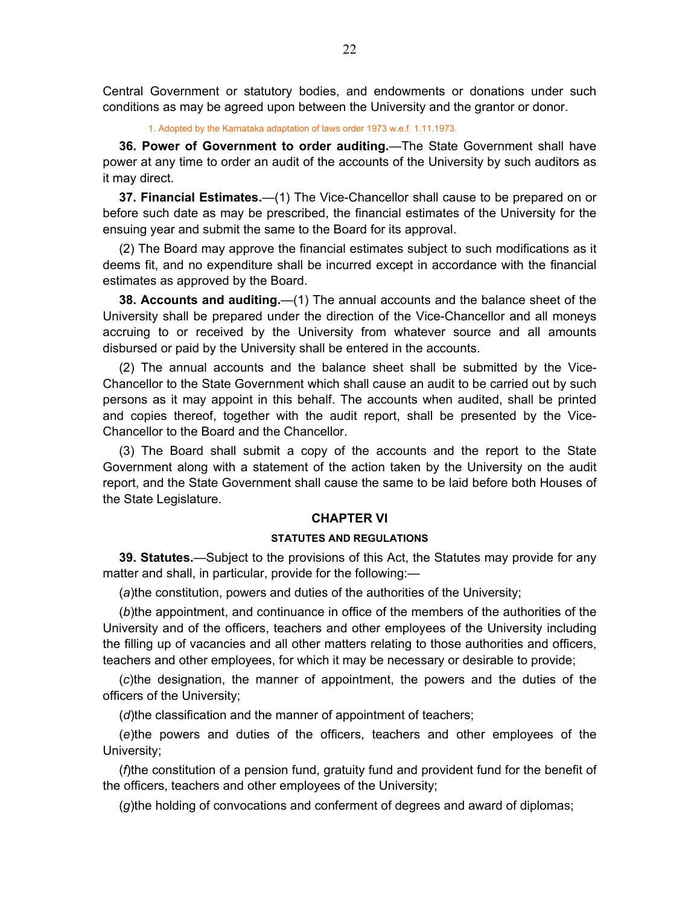<span id="page-21-0"></span>Central Government or statutory bodies, and endowments or donations under such conditions as may be agreed upon between the University and the grantor or donor.

1. Adopted by the Karnataka adaptation of laws order 1973 w.e.f. 1.11.1973.

**36. Power of Government to order auditing.**—The State Government shall have power at any time to order an audit of the accounts of the University by such auditors as it may direct.

**37. Financial Estimates.**—(1) The Vice-Chancellor shall cause to be prepared on or before such date as may be prescribed, the financial estimates of the University for the ensuing year and submit the same to the Board for its approval.

(2) The Board may approve the financial estimates subject to such modifications as it deems fit, and no expenditure shall be incurred except in accordance with the financial estimates as approved by the Board.

**38. Accounts and auditing.**—(1) The annual accounts and the balance sheet of the University shall be prepared under the direction of the Vice-Chancellor and all moneys accruing to or received by the University from whatever source and all amounts disbursed or paid by the University shall be entered in the accounts.

(2) The annual accounts and the balance sheet shall be submitted by the Vice-Chancellor to the State Government which shall cause an audit to be carried out by such persons as it may appoint in this behalf. The accounts when audited, shall be printed and copies thereof, together with the audit report, shall be presented by the Vice-Chancellor to the Board and the Chancellor.

(3) The Board shall submit a copy of the accounts and the report to the State Government along with a statement of the action taken by the University on the audit report, and the State Government shall cause the same to be laid before both Houses of the State Legislature.

# **CHAPTER VI**

### **STATUTES AND REGULATIONS**

**39. Statutes.**—Subject to the provisions of this Act, the Statutes may provide for any matter and shall, in particular, provide for the following:—

(*a*)the constitution, powers and duties of the authorities of the University;

(*b*)the appointment, and continuance in office of the members of the authorities of the University and of the officers, teachers and other employees of the University including the filling up of vacancies and all other matters relating to those authorities and officers, teachers and other employees, for which it may be necessary or desirable to provide;

(*c*)the designation, the manner of appointment, the powers and the duties of the officers of the University;

(*d*)the classification and the manner of appointment of teachers;

(*e*)the powers and duties of the officers, teachers and other employees of the University;

(*f*)the constitution of a pension fund, gratuity fund and provident fund for the benefit of the officers, teachers and other employees of the University;

(*g*)the holding of convocations and conferment of degrees and award of diplomas;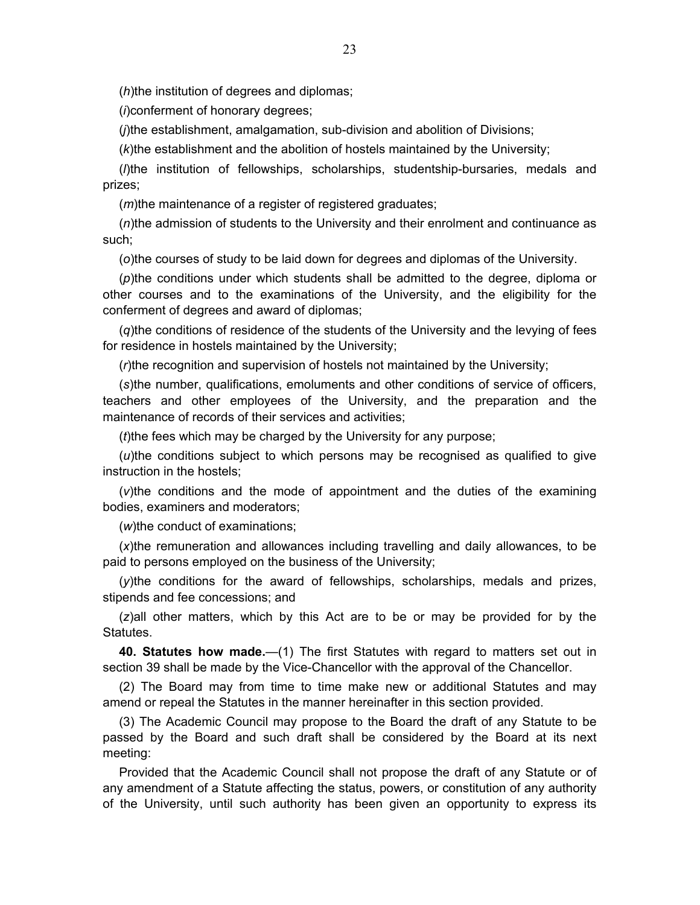<span id="page-22-0"></span>(*h*)the institution of degrees and diplomas;

(*i*)conferment of honorary degrees;

(*j*)the establishment, amalgamation, sub-division and abolition of Divisions;

(*k*)the establishment and the abolition of hostels maintained by the University;

(*l*)the institution of fellowships, scholarships, studentship-bursaries, medals and prizes;

(*m*)the maintenance of a register of registered graduates;

(*n*)the admission of students to the University and their enrolment and continuance as such;

(*o*)the courses of study to be laid down for degrees and diplomas of the University.

(*p*)the conditions under which students shall be admitted to the degree, diploma or other courses and to the examinations of the University, and the eligibility for the conferment of degrees and award of diplomas;

(*q*)the conditions of residence of the students of the University and the levying of fees for residence in hostels maintained by the University;

(*r*)the recognition and supervision of hostels not maintained by the University;

(*s*)the number, qualifications, emoluments and other conditions of service of officers, teachers and other employees of the University, and the preparation and the maintenance of records of their services and activities;

(*t*)the fees which may be charged by the University for any purpose;

(*u*)the conditions subject to which persons may be recognised as qualified to give instruction in the hostels;

(*v*)the conditions and the mode of appointment and the duties of the examining bodies, examiners and moderators;

(*w*)the conduct of examinations;

(*x*)the remuneration and allowances including travelling and daily allowances, to be paid to persons employed on the business of the University;

(*y*)the conditions for the award of fellowships, scholarships, medals and prizes, stipends and fee concessions; and

(*z*)all other matters, which by this Act are to be or may be provided for by the Statutes.

**40. Statutes how made.**—(1) The first Statutes with regard to matters set out in section 39 shall be made by the Vice-Chancellor with the approval of the Chancellor.

(2) The Board may from time to time make new or additional Statutes and may amend or repeal the Statutes in the manner hereinafter in this section provided.

(3) The Academic Council may propose to the Board the draft of any Statute to be passed by the Board and such draft shall be considered by the Board at its next meeting:

Provided that the Academic Council shall not propose the draft of any Statute or of any amendment of a Statute affecting the status, powers, or constitution of any authority of the University, until such authority has been given an opportunity to express its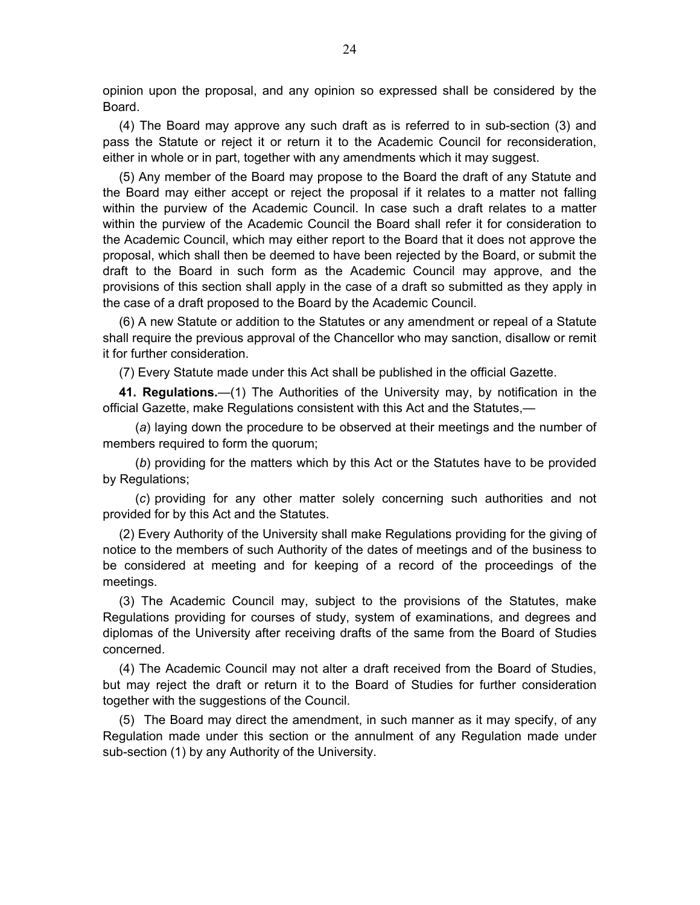<span id="page-23-0"></span>opinion upon the proposal, and any opinion so expressed shall be considered by the Board.

(4) The Board may approve any such draft as is referred to in sub-section (3) and pass the Statute or reject it or return it to the Academic Council for reconsideration, either in whole or in part, together with any amendments which it may suggest.

(5) Any member of the Board may propose to the Board the draft of any Statute and the Board may either accept or reject the proposal if it relates to a matter not falling within the purview of the Academic Council. In case such a draft relates to a matter within the purview of the Academic Council the Board shall refer it for consideration to the Academic Council, which may either report to the Board that it does not approve the proposal, which shall then be deemed to have been rejected by the Board, or submit the draft to the Board in such form as the Academic Council may approve, and the provisions of this section shall apply in the case of a draft so submitted as they apply in the case of a draft proposed to the Board by the Academic Council.

(6) A new Statute or addition to the Statutes or any amendment or repeal of a Statute shall require the previous approval of the Chancellor who may sanction, disallow or remit it for further consideration.

(7) Every Statute made under this Act shall be published in the official Gazette.

**41. Regulations.**—(1) The Authorities of the University may, by notification in the official Gazette, make Regulations consistent with this Act and the Statutes,—

(*a*) laying down the procedure to be observed at their meetings and the number of members required to form the quorum;

(*b*) providing for the matters which by this Act or the Statutes have to be provided by Regulations;

(*c*) providing for any other matter solely concerning such authorities and not provided for by this Act and the Statutes.

(2) Every Authority of the University shall make Regulations providing for the giving of notice to the members of such Authority of the dates of meetings and of the business to be considered at meeting and for keeping of a record of the proceedings of the meetings.

(3) The Academic Council may, subject to the provisions of the Statutes, make Regulations providing for courses of study, system of examinations, and degrees and diplomas of the University after receiving drafts of the same from the Board of Studies concerned.

(4) The Academic Council may not alter a draft received from the Board of Studies, but may reject the draft or return it to the Board of Studies for further consideration together with the suggestions of the Council.

(5) The Board may direct the amendment, in such manner as it may specify, of any Regulation made under this section or the annulment of any Regulation made under sub-section (1) by any Authority of the University.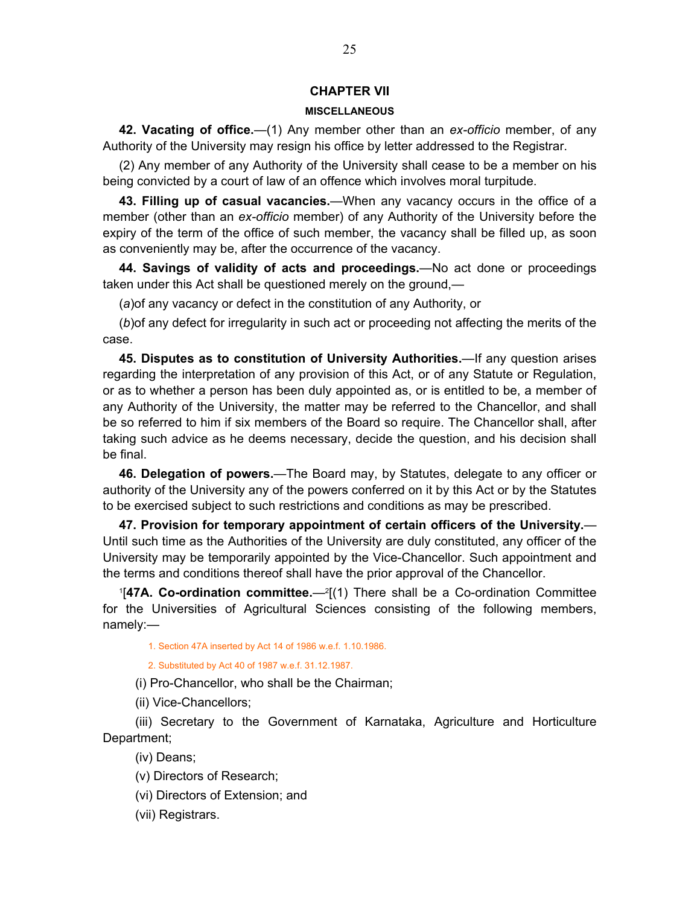# **CHAPTER VII**

### **MISCELLANEOUS**

<span id="page-24-0"></span>**42. Vacating of office.**—(1) Any member other than an *ex-officio* member, of any Authority of the University may resign his office by letter addressed to the Registrar.

(2) Any member of any Authority of the University shall cease to be a member on his being convicted by a court of law of an offence which involves moral turpitude.

**43. Filling up of casual vacancies.**—When any vacancy occurs in the office of a member (other than an *ex-officio* member) of any Authority of the University before the expiry of the term of the office of such member, the vacancy shall be filled up, as soon as conveniently may be, after the occurrence of the vacancy.

**44. Savings of validity of acts and proceedings.**—No act done or proceedings taken under this Act shall be questioned merely on the ground,—

(*a*)of any vacancy or defect in the constitution of any Authority, or

(*b*)of any defect for irregularity in such act or proceeding not affecting the merits of the case.

**45. Disputes as to constitution of University Authorities.**—If any question arises regarding the interpretation of any provision of this Act, or of any Statute or Regulation, or as to whether a person has been duly appointed as, or is entitled to be, a member of any Authority of the University, the matter may be referred to the Chancellor, and shall be so referred to him if six members of the Board so require. The Chancellor shall, after taking such advice as he deems necessary, decide the question, and his decision shall be final.

**46. Delegation of powers.**—The Board may, by Statutes, delegate to any officer or authority of the University any of the powers conferred on it by this Act or by the Statutes to be exercised subject to such restrictions and conditions as may be prescribed.

**47. Provision for temporary appointment of certain officers of the University.**— Until such time as the Authorities of the University are duly constituted, any officer of the University may be temporarily appointed by the Vice-Chancellor. Such appointment and the terms and conditions thereof shall have the prior approval of the Chancellor.

<sup>1</sup>[47A. Co-ordination committee.—<sup>2</sup>[(1) There shall be a Co-ordination Committee for the Universities of Agricultural Sciences consisting of the following members, namely:—

1. Section 47A inserted by Act 14 of 1986 w.e.f. 1.10.1986.

2. Substituted by Act 40 of 1987 w.e.f. 31.12.1987.

(i) Pro-Chancellor, who shall be the Chairman;

(ii) Vice-Chancellors;

(iii) Secretary to the Government of Karnataka, Agriculture and Horticulture Department;

(iv) Deans;

(v) Directors of Research;

(vi) Directors of Extension; and

(vii) Registrars.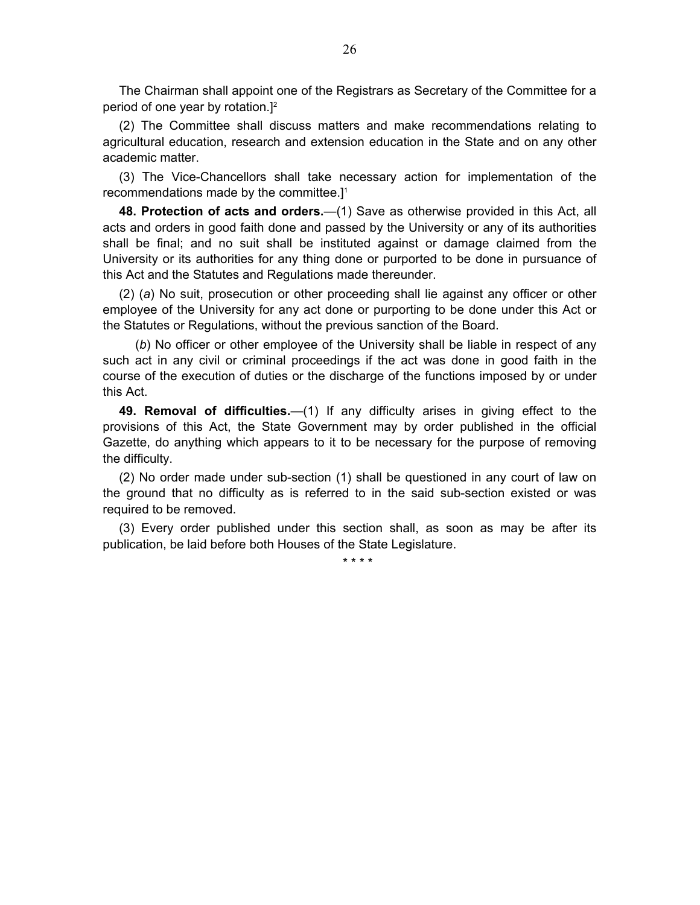<span id="page-25-0"></span>The Chairman shall appoint one of the Registrars as Secretary of the Committee for a period of one year by rotation.]<sup>2</sup>

(2) The Committee shall discuss matters and make recommendations relating to agricultural education, research and extension education in the State and on any other academic matter.

(3) The Vice-Chancellors shall take necessary action for implementation of the recommendations made by the committee.]1

**48. Protection of acts and orders.**—(1) Save as otherwise provided in this Act, all acts and orders in good faith done and passed by the University or any of its authorities shall be final; and no suit shall be instituted against or damage claimed from the University or its authorities for any thing done or purported to be done in pursuance of this Act and the Statutes and Regulations made thereunder.

(2) (*a*) No suit, prosecution or other proceeding shall lie against any officer or other employee of the University for any act done or purporting to be done under this Act or the Statutes or Regulations, without the previous sanction of the Board.

(*b*) No officer or other employee of the University shall be liable in respect of any such act in any civil or criminal proceedings if the act was done in good faith in the course of the execution of duties or the discharge of the functions imposed by or under this Act.

**49. Removal of difficulties.**—(1) If any difficulty arises in giving effect to the provisions of this Act, the State Government may by order published in the official Gazette, do anything which appears to it to be necessary for the purpose of removing the difficulty.

(2) No order made under sub-section (1) shall be questioned in any court of law on the ground that no difficulty as is referred to in the said sub-section existed or was required to be removed.

(3) Every order published under this section shall, as soon as may be after its publication, be laid before both Houses of the State Legislature.

\* \* \* \*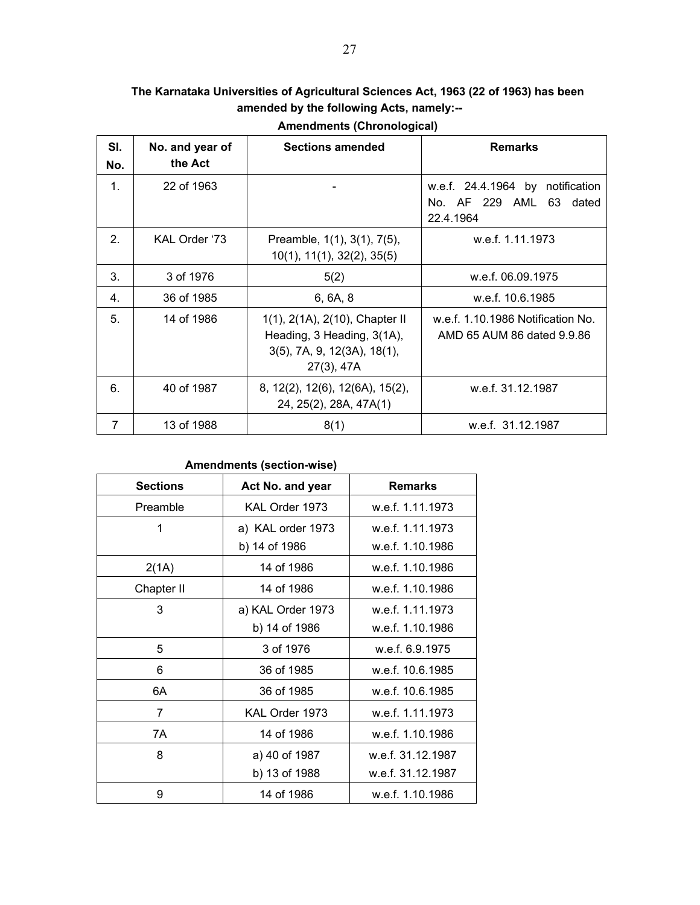# <span id="page-26-0"></span>**The Karnataka Universities of Agricultural Sciences Act, 1963 (22 of 1963) has been amended by the following Acts, namely:--**

| SI.<br>No. | No. and year of<br>the Act | <b>Sections amended</b>                                                                                         | <b>Remarks</b>                                                           |
|------------|----------------------------|-----------------------------------------------------------------------------------------------------------------|--------------------------------------------------------------------------|
| 1.         | 22 of 1963                 |                                                                                                                 | w.e.f. 24.4.1964 by notification<br>No. AF 229 AML 63 dated<br>22.4.1964 |
| 2.         | KAL Order '73              | Preamble, 1(1), 3(1), 7(5),<br>$10(1)$ , $11(1)$ , $32(2)$ , $35(5)$                                            | w.e.f. 1.11.1973                                                         |
| 3.         | 3 of 1976                  | 5(2)                                                                                                            | w.e.f. 06.09.1975                                                        |
| 4.         | 36 of 1985                 | 6, 6A, 8                                                                                                        | w.e.f. 10.6.1985                                                         |
| 5.         | 14 of 1986                 | 1(1), 2(1A), 2(10), Chapter II<br>Heading, 3 Heading, 3(1A),<br>$3(5)$ , 7A, 9, 12(3A), 18(1),<br>$27(3)$ , 47A | w.e.f. 1.10.1986 Notification No.<br>AMD 65 AUM 86 dated 9.9.86          |
| 6.         | 40 of 1987                 | 8, 12(2), 12(6), 12(6A), 15(2),<br>24, 25(2), 28A, 47A(1)                                                       | w.e.f. 31.12.1987                                                        |
| 7          | 13 of 1988                 | 8(1)                                                                                                            | w.e.f. 31.12.1987                                                        |

**Amendments (Chronological)** 

# **Amendments (section-wise)**

| <b>Sections</b> | Act No. and year  | <b>Remarks</b>    |
|-----------------|-------------------|-------------------|
| Preamble        | KAL Order 1973    | w.e.f. 1.11.1973  |
| 1               | a) KAL order 1973 | w.e.f. 1.11.1973  |
|                 | b) 14 of 1986     | w.e.f. 1.10.1986  |
| 2(1A)           | 14 of 1986        | w.e.f. 1.10.1986  |
| Chapter II      | 14 of 1986        | w.e.f. 1.10.1986  |
| 3               | a) KAL Order 1973 | w.e.f. 1.11.1973  |
|                 | b) 14 of 1986     | w.e.f. 1.10.1986  |
| 5               | 3 of 1976         | w.e.f. 6.9.1975   |
| 6               | 36 of 1985        | w.e.f. 10.6.1985  |
| 6A              | 36 of 1985        | w.e.f. 10.6.1985  |
| $\overline{7}$  | KAL Order 1973    | w.e.f. 1.11.1973  |
| 7A              | 14 of 1986        | w.e.f. 1.10.1986  |
| 8               | a) 40 of 1987     | w.e.f. 31.12.1987 |
|                 | b) 13 of 1988     | w.e.f. 31.12.1987 |
| 9               | 14 of 1986        | w.e.f. 1.10.1986  |